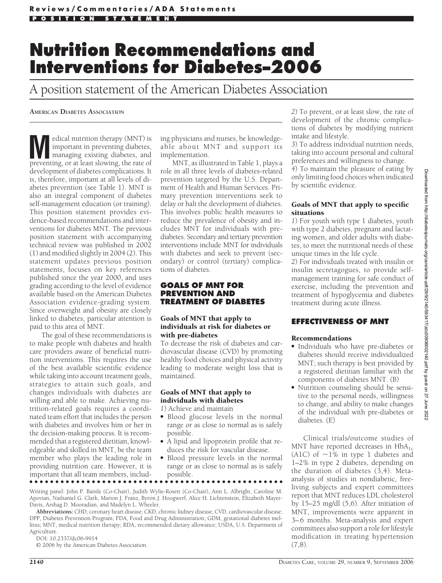# **Nutrition Recommendations and Interventions for Diabetes–2006**

A position statement of the American Diabetes Association

## **AMERICAN DIABETES ASSOCIATION**

edical nutrition therapy (MNT) is<br>important in preventing diabetes,<br>managing existing diabetes, and<br>preventing or at least slowing the rate of important in preventing diabetes, **n** managing existing diabetes, and preventing, or at least slowing, the rate of development of diabetes complications. It is, therefore, important at all levels of diabetes prevention (see Table 1). MNT is also an integral component of diabetes self-management education (or training). This position statement provides evidence-based recommendations and interventions for diabetes MNT. The previous position statement with accompanying technical review was published in 2002 (1) and modified slightly in 2004 (2). This statement updates previous position statements, focuses on key references published since the year 2000, and uses grading according to the level of evidence available based on the American Diabetes Association evidence-grading system. Since overweight and obesity are closely linked to diabetes, particular attention is paid to this area of MNT.

The goal of these recommendations is to make people with diabetes and health care providers aware of beneficial nutrition interventions. This requires the use of the best available scientific evidence while taking into account treatment goals, strategies to attain such goals, and changes individuals with diabetes are willing and able to make. Achieving nutrition-related goals requires a coordinated team effort that includes the person with diabetes and involves him or her in the decision-making process. It is recommended that a registered dietitian, knowledgeable and skilled in MNT, be the team member who plays the leading role in providing nutrition care. However, it is important that all team members, includ-●●●●●●●●●●●●●●●●●●●●●●●●●●●●●●●●●●●●●●●●●●●●●●●●●

ing physicians and nurses, be knowledgeable about MNT and support its implementation.

MNT, as illustrated in Table 1, plays a role in all three levels of diabetes-related prevention targeted by the U.S. Department of Health and Human Services. Primary prevention interventions seek to delay or halt the development of diabetes. This involves public health measures to reduce the prevalence of obesity and includes MNT for individuals with prediabetes. Secondary and tertiary prevention interventions include MNT for individuals with diabetes and seek to prevent (secondary) or control (tertiary) complications of diabetes.

## **GOALS OF MNT FOR PREVENTION AND TREATMENT OF DIABETES**

#### Goals of MNT that apply to individuals at risk for diabetes or with pre-diabetes

To decrease the risk of diabetes and cardiovascular disease (CVD) by promoting healthy food choices and physical activity leading to moderate weight loss that is maintained.

## Goals of MNT that apply to individuals with diabetes

*1*) Achieve and maintain

- Blood glucose levels in the normal range or as close to normal as is safely possible.
- A lipid and lipoprotein profile that reduces the risk for vascular disease.
- Blood pressure levels in the normal range or as close to normal as is safely possible.
- 

Writing panel: John P. Bantle (Co-Chair), Judith Wylie-Rosett (Co-Chair), Ann L. Albright, Caroline M. Apovian, Nathaniel G. Clark, Marion J. Franz, Byron J. Hoogwerf, Alice H. Lichtenstein, Elizabeth Mayer-Davis, Arshag D. Mooradian, and Madelyn L. Wheeler.

**Abbreviations:** CHD, coronary heart disease; CKD, chronic kidney disease; CVD, cardiovascular disease; DPP, Diabetes Prevention Program; FDA, Food and Drug Administration; GDM, gestational diabetes mellitus; MNT, medical nutrition therapy; RDA, recommended dietary allowance; USDA, U.S. Department of Agriculture.

DOI: 10.2337/dc06-9914

© 2006 by the American Diabetes Association.

*2*) To prevent, or at least slow, the rate of development of the chronic complications of diabetes by modifying nutrient intake and lifestyle.

*3*) To address individual nutrition needs, taking into account personal and cultural preferences and willingness to change.

*4*) To maintain the pleasure of eating by only limiting food choices when indicated by scientific evidence.

## Goals of MNT that apply to specific situations

*1*) For youth with type 1 diabetes, youth with type 2 diabetes, pregnant and lactating women, and older adults with diabetes, to meet the nutritional needs of these unique times in the life cycle.

*2*) For individuals treated with insulin or insulin secretagogues, to provide selfmanagement training for safe conduct of exercise, including the prevention and treatment of hypoglycemia and diabetes treatment during acute illness.

# **EFFECTIVENESS OF MNT**

# Recommendations

- Individuals who have pre-diabetes or diabetes should receive individualized MNT; such therapy is best provided by a registered dietitian familiar with the components of diabetes MNT. (B)
- Nutrition counseling should be sensitive to the personal needs, willingness to change, and ability to make changes of the individual with pre-diabetes or diabetes. (E)

Clinical trials/outcome studies of MNT have reported decreases in  $HbA_{1c}$ (A1C) of  $\sim$ 1% in type 1 diabetes and 1–2% in type 2 diabetes, depending on the duration of diabetes  $(3,4)$ . Metaanalysis of studies in nondiabetic, freeliving subjects and expert committees report that MNT reduces LDL cholesterol by 15–25 mg/dl (5,6). After initiation of MNT, improvements were apparent in 3-6 months. Meta-analysis and expert committees also support a role for lifestyle modification in treating hypertension  $(7,8)$ .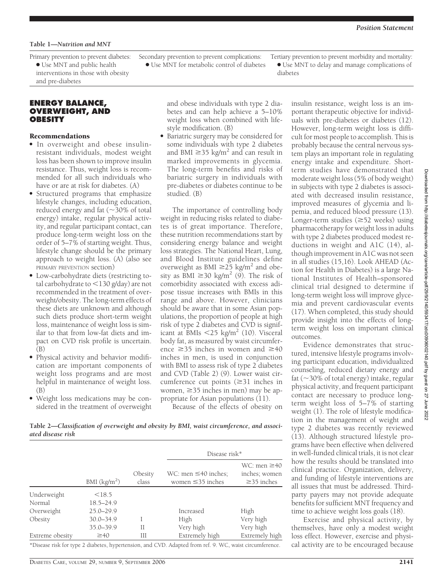# **Table 1—***Nutrition and MNT*

● Use MNT and public health interventions in those with obesity and pre-diabetes

## **ENERGY BALANCE, OVERWEIGHT, AND OBESITY**

## Recommendations

- In overweight and obese insulinresistant individuals, modest weight loss has been shown to improve insulin resistance. Thus, weight loss is recommended for all such individuals who have or are at risk for diabetes. (A)
- Structured programs that emphasize lifestyle changes, including education, reduced energy and fat  $(\sim]30\%$  of total energy) intake, regular physical activity, and regular participant contact, can produce long-term weight loss on the order of 5–7% of starting weight. Thus, lifestyle change should be the primary approach to weight loss. (A) (also see PRIMARY PREVENTION section)
- Low-carbohydrate diets (restricting total carbohydrate to  $<$ 130 g/day) are not recommended in the treatment of overweight/obesity. The long-term effects of these diets are unknown and although such diets produce short-term weight loss, maintenance of weight loss is similar to that from low-fat diets and impact on CVD risk profile is uncertain. (B)
- Physical activity and behavior modification are important components of weight loss programs and are most helpful in maintenance of weight loss. (B)
- Weight loss medications may be considered in the treatment of overweight
- Primary prevention to prevent diabetes: Secondary prevention to prevent complications: Tertiary prevention to prevent morbidity and mortality:
	- Use MNT for metabolic control of diabetes Use MNT to delay and manage complications of

diabetes

and obese individuals with type 2 diabetes and can help achieve a 5–10% weight loss when combined with lifestyle modification. (B)

● Bariatric surgery may be considered for some individuals with type 2 diabetes and BMI  $\geq$ 35 kg/m<sup>2</sup> and can result in marked improvements in glycemia. The long-term benefits and risks of bariatric surgery in individuals with pre-diabetes or diabetes continue to be studied. (B)

The importance of controlling body weight in reducing risks related to diabetes is of great importance. Therefore, these nutrition recommendations start by considering energy balance and weight loss strategies. The National Heart, Lung, and Blood Institute guidelines define overweight as BMI  $\geq$ 25 kg/m<sup>2</sup> and obesity as  $\text{BMI} \geq 30 \text{ kg/m}^2$  (9). The risk of comorbidity associated with excess adipose tissue increases with BMIs in this range and above. However, clinicians should be aware that in some Asian populations, the proportion of people at high risk of type 2 diabetes and CVD is significant at BMIs  $\langle 25 \text{ kg/m}^2 \text{ (10)}$ . Visceral body fat, as measured by waist circumference  $\geq$ 35 inches in women and  $\geq$ 40 inches in men, is used in conjunction with BMI to assess risk of type 2 diabetes and CVD (Table 2) (9). Lower waist cir-

cumference cut points  $(\geq 31$  inches in women,  $\geq$ 35 inches in men) may be appropriate for Asian populations (11). Because of the effects of obesity on

**Table 2—***Classification of overweight and obesity by BMI, waist circumference, and associated disease risk*

|                 | BMI (kg/m <sup>2</sup> ) | Obesity<br>class | Disease risk*                                       |                                                        |
|-----------------|--------------------------|------------------|-----------------------------------------------------|--------------------------------------------------------|
|                 |                          |                  | WC: men $\leq 40$ inches;<br>women $\leq$ 35 inches | WC: men $\geq 40$<br>inches; women<br>$\geq$ 35 inches |
| Underweight     | <18.5                    |                  |                                                     |                                                        |
| Normal          | 18.5-24.9                |                  |                                                     |                                                        |
| Overweight      | $25.0 - 29.9$            |                  | Increased                                           | High                                                   |
| Obesity         | $30.0 - 34.9$            |                  | High                                                | Very high                                              |
|                 | $35.0 - 39.9$            | Н                | Very high                                           | Very high                                              |
| Extreme obesity | $\geq 40$                | Ш                | Extremely high                                      | Extremely high                                         |

\*Disease risk for type 2 diabetes, hypertension, and CVD. Adapted from ref. 9. WC, waist circumference.

insulin resistance, weight loss is an important therapeutic objective for individuals with pre-diabetes or diabetes (12). However, long-term weight loss is difficult for most people to accomplish. This is probably because the central nervous system plays an important role in regulating energy intake and expenditure. Shortterm studies have demonstrated that moderate weight loss (5% of body weight) in subjects with type 2 diabetes is associated with decreased insulin resistance, improved measures of glycemia and lipemia, and reduced blood pressure (13). Longer-term studies  $(\geq 52$  weeks) using pharmacotherapy for weight loss in adults with type 2 diabetes produced modest reductions in weight and A1C (14), although improvement in A1C was not seen in all studies (15,16). Look AHEAD (Action for Health in Diabetes) is a large National Institutes of Health–sponsored clinical trial designed to determine if long-term weight loss will improve glycemia and prevent cardiovascular events (17). When completed, this study should provide insight into the effects of longterm weight loss on important clinical outcomes.

Evidence demonstrates that structured, intensive lifestyle programs involving participant education, individualized counseling, reduced dietary energy and fat ( $\sim$ 30% of total energy) intake, regular physical activity, and frequent participant contact are necessary to produce longterm weight loss of 5–7% of starting weight (1). The role of lifestyle modification in the management of weight and type 2 diabetes was recently reviewed (13). Although structured lifestyle programs have been effective when delivered in well-funded clinical trials, it is not clear how the results should be translated into clinical practice. Organization, delivery, and funding of lifestyle interventions are all issues that must be addressed. Thirdparty payers may not provide adequate benefits for sufficient MNT frequency and time to achieve weight loss goals (18).

Exercise and physical activity, by themselves, have only a modest weight loss effect. However, exercise and physical activity are to be encouraged because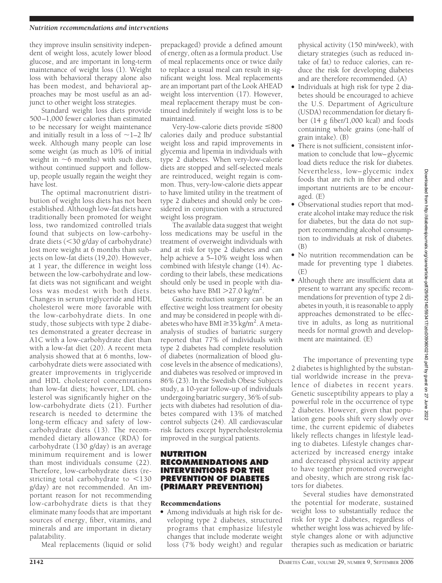they improve insulin sensitivity independent of weight loss, acutely lower blood glucose, and are important in long-term maintenance of weight loss (1). Weight loss with behavioral therapy alone also has been modest, and behavioral approaches may be most useful as an adjunct to other weight loss strategies.

Standard weight loss diets provide 500 –1,000 fewer calories than estimated to be necessary for weight maintenance and initially result in a loss of  $\sim$ 1–2 lb/ week. Although many people can lose some weight (as much as 10% of initial weight in  $\sim$  6 months) with such diets, without continued support and followup, people usually regain the weight they have lost.

The optimal macronutrient distribution of weight loss diets has not been established. Although low-fat diets have traditionally been promoted for weight loss, two randomized controlled trials found that subjects on low-carbohydrate diets (<30 g/day of carbohydrate) lost more weight at 6 months than subjects on low-fat diets (19,20). However, at 1 year, the difference in weight loss between the low-carbohydrate and lowfat diets was not significant and weight loss was modest with both diets. Changes in serum triglyceride and HDL cholesterol were more favorable with the low-carbohydrate diets. In one study, those subjects with type 2 diabetes demonstrated a greater decrease in A1C with a low-carbohydrate diet than with a low-fat diet (20). A recent meta analysis showed that at 6 months, lowcarbohydrate diets were associated with greater improvements in triglyceride and HDL cholesterol concentrations than low-fat diets; however, LDL cholesterol was significantly higher on the low-carbohydrate diets (21). Further research is needed to determine the long-term efficacy and safety of lowcarbohydrate diets (13). The recommended dietary allowance (RDA) for carbohydrate  $(130 \text{ g/day})$  is an average minimum requirement and is lower than most individuals consume (22). Therefore, low-carbohydrate diets (restricting total carbohydrate to  $\leq$ 130 g/day) are not recommended. An important reason for not recommending low-carbohydrate diets is that they eliminate many foods that are important sources of energy, fiber, vitamins, and minerals and are important in dietary palatability.

Meal replacements (liquid or solid

prepackaged) provide a defined amount of energy, often as a formula product. Use of meal replacements once or twice daily to replace a usual meal can result in significant weight loss. Meal replacements are an important part of the Look AHEAD weight loss intervention (17). However, meal replacement therapy must be continued indefinitely if weight loss is to be maintained.

Very-low-calorie diets provide ≤800 calories daily and produce substantial weight loss and rapid improvements in glycemia and lipemia in individuals with type 2 diabetes. When very-low-calorie diets are stopped and self-selected meals are reintroduced, weight regain is common. Thus, very-low-calorie diets appear to have limited utility in the treatment of type 2 diabetes and should only be considered in conjunction with a structured weight loss program.

The available data suggest that weight loss medications may be useful in the treatment of overweight individuals with and at risk for type 2 diabetes and can help achieve a 5–10% weight loss when combined with lifestyle change (14). According to their labels, these medications should only be used in people with diabetes who have BMI  $>$ 27.0 kg/m<sup>2</sup>.

Gastric reduction surgery can be an effective weight loss treatment for obesity and may be considered in people with diabetes who have BMI  $\geq$ 35 kg/m<sup>2</sup>. A metaanalysis of studies of bariatric surgery reported that 77% of individuals with type 2 diabetes had complete resolution of diabetes (normalization of blood glucose levels in the absence of medications), and diabetes was resolved or improved in 86% (23). In the Swedish Obese Subjects study, a 10-year follow-up of individuals undergoing bariatric surgery, 36% of subjects with diabetes had resolution of diabetes compared with 13% of matched control subjects (24). All cardiovascular risk factors except hypercholesterolemia improved in the surgical patients.

## **NUTRITION RECOMMENDATIONS AND INTERVENTIONS FOR THE PREVENTION OF DIABETES (PRIMARY PREVENTION)**

## Recommendations

● Among individuals at high risk for developing type 2 diabetes, structured programs that emphasize lifestyle changes that include moderate weight loss (7% body weight) and regular

physical activity (150 min/week), with dietary strategies (such as reduced intake of fat) to reduce calories, can reduce the risk for developing diabetes and are therefore recommended. (A)

- Individuals at high risk for type 2 diabetes should be encouraged to achieve the U.S. Department of Agriculture (USDA) recommendation for dietary fiber (14 g fiber/1,000 kcal) and foods containing whole grains (one-half of grain intake). (B)
- There is not sufficient, consistent information to conclude that low– glycemic load diets reduce the risk for diabetes. Nevertheless, low– glycemic index foods that are rich in fiber and other important nutrients are to be encouraged. (E)
- Observational studies report that moderate alcohol intake may reduce the risk for diabetes, but the data do not support recommending alcohol consumption to individuals at risk of diabetes. (B)
- No nutrition recommendation can be made for preventing type 1 diabetes. (E)
- Although there are insufficient data at present to warrant any specific recommendations for prevention of type 2 diabetes in youth, it is reasonable to apply approaches demonstrated to be effective in adults, as long as nutritional needs for normal growth and development are maintained. (E)

The importance of preventing type 2 diabetes is highlighted by the substantial worldwide increase in the prevalence of diabetes in recent years. Genetic susceptibility appears to play a powerful role in the occurrence of type 2 diabetes. However, given that population gene pools shift very slowly over time, the current epidemic of diabetes likely reflects changes in lifestyle leading to diabetes. Lifestyle changes characterized by increased energy intake and decreased physical activity appear to have together promoted overweight and obesity, which are strong risk factors for diabetes.

Several studies have demonstrated the potential for moderate, sustained weight loss to substantially reduce the risk for type 2 diabetes, regardless of whether weight loss was achieved by lifestyle changes alone or with adjunctive therapies such as medication or bariatric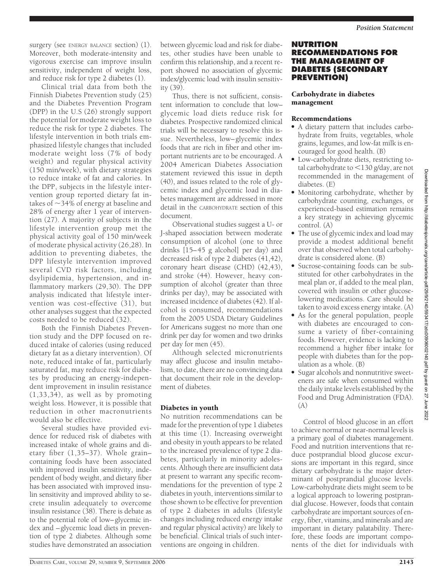surgery (see ENERGY BALANCE section) (1). Moreover, both moderate-intensity and vigorous exercise can improve insulin sensitivity, independent of weight loss, and reduce risk for type 2 diabetes (1).

Clinical trial data from both the Finnish Diabetes Prevention study (25) and the Diabetes Prevention Program (DPP) in the U.S (26) strongly support the potential for moderate weight loss to reduce the risk for type 2 diabetes. The lifestyle intervention in both trials emphasized lifestyle changes that included moderate weight loss (7% of body weight) and regular physical activity (150 min/week), with dietary strategies to reduce intake of fat and calories. In the DPP, subjects in the lifestyle intervention group reported dietary fat intakes of  $\sim$ 34% of energy at baseline and 28% of energy after 1 year of intervention (27). A majority of subjects in the lifestyle intervention group met the physical activity goal of 150 min/week of moderate physical activity (26,28). In addition to preventing diabetes, the DPP lifestyle intervention improved several CVD risk factors, including dsylipidemia, hypertension, and inflammatory markers (29,30). The DPP analysis indicated that lifestyle intervention was cost-effective (31), but other analyses suggest that the expected costs needed to be reduced (32).

Both the Finnish Diabetes Prevention study and the DPP focused on reduced intake of calories (using reduced dietary fat as a dietary intervention). Of note, reduced intake of fat, particularly saturated fat, may reduce risk for diabetes by producing an energy-independent improvement in insulin resistance (1,33,34), as well as by promoting weight loss. However, it is possible that reduction in other macronutrients would also be effective.

Several studies have provided evidence for reduced risk of diabetes with increased intake of whole grains and dietary fiber (1,35–37). Whole grain– containing foods have been associated with improved insulin sensitivity, independent of body weight, and dietary fiber has been associated with improved insulin sensitivity and improved ability to secrete insulin adequately to overcome insulin resistance (38). There is debate as to the potential role of low– glycemic index and – glycemic load diets in prevention of type 2 diabetes. Although some studies have demonstrated an association

between glycemic load and risk for diabetes, other studies have been unable to confirm this relationship, and a recent report showed no association of glycemic index/glycemic load with insulin sensitivity (39).

Thus, there is not sufficient, consistent information to conclude that low– glycemic load diets reduce risk for diabetes. Prospective randomized clinical trials will be necessary to resolve this issue. Nevertheless, low– glycemic index foods that are rich in fiber and other important nutrients are to be encouraged. A 2004 American Diabetes Association statement reviewed this issue in depth (40), and issues related to the role of glycemic index and glycemic load in diabetes management are addressed in more detail in the CARBOHYDRATE section of this document.

Observational studies suggest a U- or J-shaped association between moderate consumption of alcohol (one to three drinks [15– 45 g alcohol] per day) and decreased risk of type 2 diabetes (41,42), coronary heart disease (CHD) (42,43), and stroke (44). However, heavy consumption of alcohol (greater than three drinks per day), may be associated with increased incidence of diabetes (42). If alcohol is consumed, recommendations from the 2005 USDA Dietary Guidelines for Americans suggest no more than one drink per day for women and two drinks per day for men (45).

Although selected micronutrients may affect glucose and insulin metabolism, to date, there are no convincing data that document their role in the development of diabetes.

# Diabetes in youth

No nutrition recommendations can be made for the prevention of type 1 diabetes at this time (1). Increasing overweight and obesity in youth appears to be related to the increased prevalence of type 2 diabetes, particularly in minority adolescents. Although there are insufficient data at present to warrant any specific recommendations for the prevention of type 2 diabetes in youth, interventions similar to those shown to be effective for prevention of type 2 diabetes in adults (lifestyle changes including reduced energy intake and regular physical activity) are likely to be beneficial. Clinical trials of such interventions are ongoing in children.

### **NUTRITION RECOMMENDATIONS FOR THE MANAGEMENT OF DIABETES (SECONDARY PREVENTION)**

## Carbohydrate in diabetes management

# Recommendations

- A dietary pattern that includes carbohydrate from fruits, vegetables, whole grains, legumes, and low-fat milk is encouraged for good health. (B)
- Low-carbohydrate diets, restricting total carbohydrate to  $<$ 130 g/day, are not recommended in the management of diabetes. (E)
- Monitoring carbohydrate, whether by carbohydrate counting, exchanges, or experienced-based estimation remains a key strategy in achieving glycemic control. (A)
- The use of glycemic index and load may provide a modest additional benefit over that observed when total carbohydrate is considered alone. (B)
- Sucrose-containing foods can be substituted for other carbohydrates in the meal plan or, if added to the meal plan, covered with insulin or other glucoselowering medications. Care should be taken to avoid excess energy intake. (A)
- As for the general population, people with diabetes are encouraged to consume a variety of fiber-containing foods. However, evidence is lacking to recommend a higher fiber intake for people with diabetes than for the population as a whole. (B)
- Sugar alcohols and nonnutritive sweeteners are safe when consumed within the daily intake levels established by the Food and Drug Administration (FDA). (A)

Control of blood glucose in an effort to achieve normal or near-normal levels is a primary goal of diabetes management. Food and nutrition interventions that reduce postprandial blood glucose excursions are important in this regard, since dietary carbohydrate is the major determinant of postprandial glucose levels. Low-carbohydrate diets might seem to be a logical approach to lowering postprandial glucose. However, foods that contain carbohydrate are important sources of energy, fiber, vitamins, and minerals and are important in dietary palatability. Therefore, these foods are important components of the diet for individuals with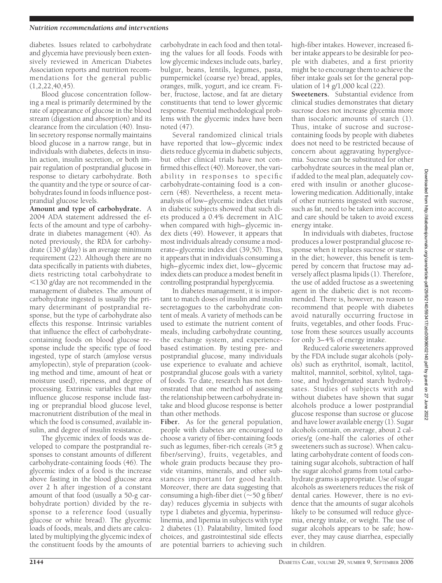diabetes. Issues related to carbohydrate and glycemia have previously been extensively reviewed in American Diabetes Association reports and nutrition recommendations for the general public (1,2,22,40,45).

Blood glucose concentration following a meal is primarily determined by the rate of appearance of glucose in the blood stream (digestion and absorption) and its clearance from the circulation (40). Insulin secretory response normally maintains blood glucose in a narrow range, but in individuals with diabetes, defects in insulin action, insulin secretion, or both impair regulation of postprandial glucose in response to dietary carbohydrate. Both the quantity and the type or source of carbohydrates found in foods influence postprandial glucose levels.

**Amount and type of carbohydrate.** A 2004 ADA statement addressed the effects of the amount and type of carbohydrate in diabetes management (40). As noted previously, the RDA for carbohydrate (130 g/day) is an average minimum requirement (22). Although there are no data specifically in patients with diabetes, diets restricting total carbohydrate to -130 g/day are not recommended in the management of diabetes. The amount of carbohydrate ingested is usually the primary determinant of postprandial response, but the type of carbohydrate also effects this response. Intrinsic variables that influence the effect of carbohydratecontaining foods on blood glucose response include the specific type of food ingested, type of starch (amylose versus amylopectin), style of preparation (cooking method and time, amount of heat or moisture used), ripeness, and degree of processing. Extrinsic variables that may influence glucose response include fasting or preprandial blood glucose level, macronutrient distribution of the meal in which the food is consumed, available insulin, and degree of insulin resistance.

The glycemic index of foods was developed to compare the postprandial responses to constant amounts of different carbohydrate-containing foods (46). The glycemic index of a food is the increase above fasting in the blood glucose area over 2 h after ingestion of a constant amount of that food (usually a 50-g carbohydrate portion) divided by the response to a reference food (usually glucose or white bread). The glycemic loads of foods, meals, and diets are calculated by multiplying the glycemic index of the constituent foods by the amounts of

carbohydrate in each food and then totaling the values for all foods. Foods with low glycemic indexes include oats, barley, bulgur, beans, lentils, legumes, pasta, pumpernickel (coarse rye) bread, apples, oranges, milk, yogurt, and ice cream. Fiber, fructose, lactose, and fat are dietary constituents that tend to lower glycemic response. Potential methodological problems with the glycemic index have been noted (47).

Several randomized clinical trials have reported that low– glycemic index diets reduce glycemia in diabetic subjects, but other clinical trials have not confirmed this effect (40). Moreover, the variability in responses to specific carbohydrate-containing food is a concern (48). Nevertheless, a recent metaanalysis of low– glycemic index diet trials in diabetic subjects showed that such diets produced a 0.4% decrement in A1C when compared with high–glycemic index diets (49). However, it appears that most individuals already consume a moderate– glycemic index diet (39,50). Thus, it appears that in individuals consuming a high– glycemic index diet, low– glycemic index diets can produce a modest benefit in controlling postprandial hyperglycemia.

In diabetes management, it is important to match doses of insulin and insulin secretagogues to the carbohydrate content of meals. A variety of methods can be used to estimate the nutrient content of meals, including carbohydrate counting, the exchange system, and experiencebased estimation. By testing pre- and postprandial glucose, many individuals use experience to evaluate and achieve postprandial glucose goals with a variety of foods. To date, research has not demonstrated that one method of assessing the relationship between carbohydrate intake and blood glucose response is better than other methods.

**Fiber.** As for the general population, people with diabetes are encouraged to choose a variety of fiber-containing foods such as legumes, fiber-rich cereals  $(\geq 5$  g fiber/serving), fruits, vegetables, and whole grain products because they provide vitamins, minerals, and other substances important for good health. Moreover, there are data suggesting that consuming a high-fiber diet  $(\sim 50 \text{ g fiber}/$ day) reduces glycemia in subjects with type 1 diabetes and glycemia, hyperinsulinemia, and lipemia in subjects with type 2 diabetes (1). Palatability, limited food choices, and gastrointestinal side effects are potential barriers to achieving such

high-fiber intakes. However, increased fiber intake appears to be desirable for people with diabetes, and a first priority might be to encourage them to achieve the fiber intake goals set for the general population of  $14 \frac{9}{1000}$  kcal (22).

**Sweeteners.** Substantial evidence from clinical studies demonstrates that dietary sucrose does not increase glycemia more than isocaloric amounts of starch (1). Thus, intake of sucrose and sucrosecontaining foods by people with diabetes does not need to be restricted because of concern about aggravating hyperglycemia. Sucrose can be substituted for other carbohydrate sources in the meal plan or, if added to the meal plan, adequately covered with insulin or another glucoselowering medication. Additionally, intake of other nutrients ingested with sucrose, such as fat, need to be taken into account, and care should be taken to avoid excess energy intake.

In individuals with diabetes, fructose produces a lower postprandial glucose response when it replaces sucrose or starch in the diet; however, this benefit is tempered by concern that fructose may adversely affect plasma lipids (1). Therefore, the use of added fructose as a sweetening agent in the diabetic diet is not recommended. There is, however, no reason to recommend that people with diabetes avoid naturally occurring fructose in fruits, vegetables, and other foods. Fructose from these sources usually accounts for only 3– 4% of energy intake.

Reduced calorie sweeteners approved by the FDA include sugar alcohols (polyols) such as erythritol, isomalt, lactitol, maltitol, mannitol, sorbitol, xylitol, tagatose, and hydrogenated starch hydrolysates. Studies of subjects with and without diabetes have shown that sugar alcohols produce a lower postprandial glucose response than sucrose or glucose and have lower available energy (1). Sugar alcohols contain, on average, about 2 calories/g (one-half the calories of other sweeteners such as sucrose). When calculating carbohydrate content of foods containing sugar alcohols, subtraction of half the sugar alcohol grams from total carbohydrate grams is appropriate. Use of sugar alcohols as sweeteners reduces the risk of dental caries. However, there is no evidence that the amounts of sugar alcohols likely to be consumed will reduce glycemia, energy intake, or weight. The use of sugar alcohols appears to be safe; however, they may cause diarrhea, especially in children.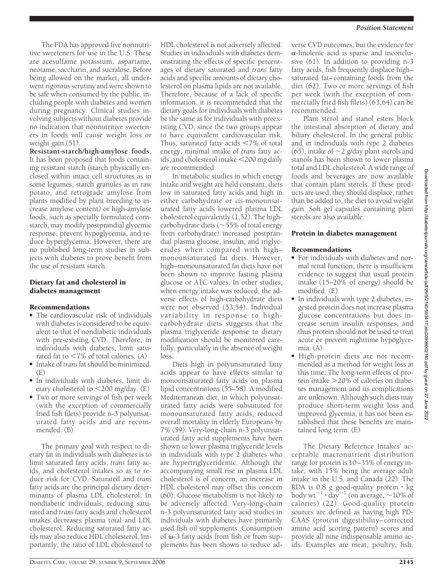The FDA has approved five nonnutritive sweeteners for use in the U.S. These are acesulfame potassium, aspartame, neotame, saccharin, and sucralose. Before being allowed on the market, all underwent rigorous scrutiny and were shown to be safe when consumed by the public, including people with diabetes and women during pregnancy. Clinical studies involving subjects without diabetes provide no indication that nonnutritive sweeteners in foods will cause weight loss or weight gain (51).

**Resistant-starch/high-amylose foods.** It has been proposed that foods containing resistant starch (starch physically enclosed within intact cell structures as in some legumes, starch granules as in raw potato, and retrograde amylose from plants modified by plant breeding to increase amylose content) or high-amylose foods, such as specially formulated cornstarch, may modify postprandial glycemic response, prevent hypoglycemia, and reduce hyperglycemia. However, there are no published long-term studies in subjects with diabetes to prove benefit from the use of resistant starch.

# Dietary fat and cholesterol in diabetes management

# Recommendations

- The cardiovascular risk of individuals with diabetes is considered to be equivalent to that of nondiabetic individuals with pre-existing CVD. Therefore, in individuals with diabetes, limit saturated fat to  $\leq 7\%$  of total calories. (A)
- Intake of *trans* fat should be minimized.  $(F)$
- In individuals with diabetes, limit dietary cholesterol to <200 mg/day. (E)
- Two or more servings of fish per week (with the exception of commercially fried fish filets) provide n-3 polyunsaturated fatty acids and are recommended. (B)

The primary goal with respect to dietary fat in individuals with diabetes is to limit saturated fatty acids, *trans* fatty acids, and cholesterol intakes so as to reduce risk for CVD. Saturated and *trans* fatty acids are the principal dietary determinants of plasma LDL cholesterol. In nondiabetic individuals, reducing saturated and *trans* fatty acids and cholesterol intakes decreases plasma total and LDL cholesterol. Reducing saturated fatty acids may also reduce HDL cholesterol. Importantly, the ratio of LDL cholesterol to

HDL cholesterol is not adversely affected. Studies in individuals with diabetes demonstrating the effects of specific percentages of dietary saturated and *trans* fatty acids and specific amounts of dietary cholesterol on plasma lipids are not available. Therefore, because of a lack of specific information, it is recommended that the dietary goals for individuals with diabetes be the same as for individuals with preexisting CVD, since the two groups appear to have equivalent cardiovascular risk. Thus, saturated fatty acids  $<$ 7% of total energy, minimal intake of *trans* fatty acids, and cholesterol intake  $<$ 200 mg daily are recommended.

In metabolic studies in which energy intake and weight are held constant, diets low in saturated fatty acids and high in either carbohydrate or *cis-*monounsaturated fatty acids lowered plasma LDL cholesterol equivalently (1,52). The highcarbohydrate diets ( $\sim$  55% of total energy from carbohydrate) increased postprandial plasma glucose, insulin, and triglycerides when compared with high– monounsaturated fat diets. However, high–monounsaturated fat diets have not been shown to improve fasting plasma glucose or A1C values. In other studies, when energy intake was reduced, the adverse effects of high-carbohydrate diets were not observed (53,54). Individual variability in response to highcarbohydrate diets suggests that the plasma triglyceride response to dietary modification should be monitored carefully, particularly in the absence of weight loss.

Diets high in polyunsaturated fatty acids appear to have effects similar to monounsaturated fatty acids on plasma lipid concentrations (55–58). A modified Mediterranean diet, in which polyunsaturated fatty acids were substituted for monounsaturated fatty acids, reduced overall mortality in elderly Europeans by 7% (59). Very-long-chain n-3 polyunsaturated fatty acid supplements have been shown to lower plasma triglyceride levels in individuals with type 2 diabetes who are hypertriglyceridemic. Although the accompanying small rise in plasma LDL cholesterol is of concern, an increase in HDL cholesterol may offset this concern (60). Glucose metabolism is not likely to be adversely affected. Very-long-chain n-3 polyunsaturated fatty acid studies in individuals with diabetes have primarily used fish oil supplements. Consumption of  $\omega$ -3 fatty acids from fish or from supplements has been shown to reduce adverse CVD outcomes, but the evidence for  $\alpha$ -linolenic acid is sparse and inconclusive (61). In addition to providing n-3 fatty acids, fish frequently displace high– saturated fat– containing foods from the diet (62). Two or more servings of fish per week (with the exception of commercially fried fish filets)  $(63, 64)$  can be recommended.

Plant sterol and stanol esters block the intestinal absorption of dietary and biliary cholesterol. In the general public and in individuals with type 2 diabetes (65), intake of  $\sim$  2 g/day plant sterols and stanols has been shown to lower plasma total and LDL cholesterol. A wide range of foods and beverages are now available that contain plant sterols. If these products are used, they should displace, rather than be added to, the diet to avoid weight gain. Soft gel capsules containing plant sterols are also available.

# Protein in diabetes management

# Recommendations

- For individuals with diabetes and normal renal function, there is insufficient evidence to suggest that usual protein intake (15–20% of energy) should be modified. (E)
- In individuals with type 2 diabetes, ingested protein does not increase plasma glucose concentrations but does increase serum insulin responses, and thus protein should not be used to treat acute or prevent nighttime hypoglycemia. (A)
- High-protein diets are not recommended as a method for weight loss at this time. The long-term effects of protein intake 20% of calories on diabetes management and its complications are unknown. Although such diets may produce short-term weight loss and improved glycemia, it has not been established that these benefits are maintained long term. (E)

The Dietary Reference Intakes' acceptable macronutrient distribution range for protein is 10 –35% of energy intake, with 15% being the average adult intake in the U.S. and Canada  $(22)$ . The RDA is 0.8 g good-quality protein  $\cdot$  kg body wt<sup>-1</sup>  $\cdot$  day<sup>-1</sup> (on average, ~10% of calories) (22). Good-quality protein sources are defined as having high PD-CAAS (protein digestibility– corrected amino acid scoring pattern) scores and provide all nine indispensable amino acids. Examples are meat, poultry, fish,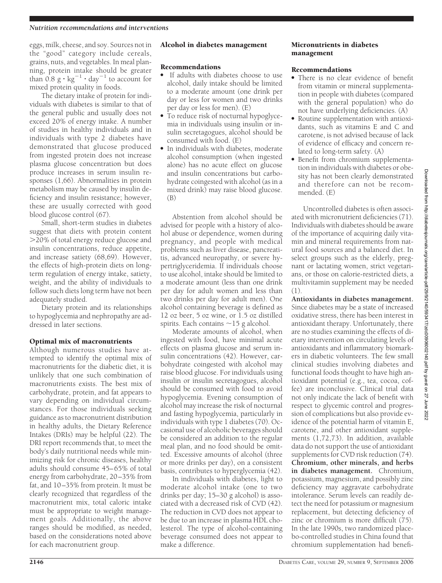eggs, milk, cheese, and soy. Sources not in the "good" category include cereals, grains, nuts, and vegetables. In meal planning, protein intake should be greater than  $0.8 \text{ g} \cdot \text{kg}^{-1} \cdot \text{day}^{-1}$  to account for mixed protein quality in foods.

The dietary intake of protein for individuals with diabetes is similar to that of the general public and usually does not exceed 20% of energy intake. A number of studies in healthy individuals and in individuals with type 2 diabetes have demonstrated that glucose produced from ingested protein does not increase plasma glucose concentration but does produce increases in serum insulin responses (1,66). Abnormalities in protein metabolism may be caused by insulin deficiency and insulin resistance; however, these are usually corrected with good blood glucose control (67).

Small, short-term studies in diabetes suggest that diets with protein content 20% of total energy reduce glucose and insulin concentrations, reduce appetite, and increase satiety (68,69). However, the effects of high-protein diets on longterm regulation of energy intake, satiety, weight, and the ability of individuals to follow such diets long term have not been adequately studied.

Dietary protein and its relationships to hypoglycemia and nephropathy are addressed in later sections.

## Optimal mix of macronutrients

Although numerous studies have attempted to identify the optimal mix of macronutrients for the diabetic diet, it is unlikely that one such combination of macronutrients exists. The best mix of carbohydrate, protein, and fat appears to vary depending on individual circumstances. For those individuals seeking guidance as to macronutrient distribution in healthy adults, the Dietary Reference Intakes (DRIs) may be helpful (22). The DRI report recommends that, to meet the body's daily nutritional needs while minimizing risk for chronic diseases, healthy adults should consume 45– 65% of total energy from carbohydrate, 20 –35% from fat, and 10 –35% from protein. It must be clearly recognized that regardless of the macronutrient mix, total caloric intake must be appropriate to weight management goals. Additionally, the above ranges should be modified, as needed, based on the considerations noted above for each macronutrient group.

### Alcohol in diabetes management

### Recommendations

- If adults with diabetes choose to use alcohol, daily intake should be limited to a moderate amount (one drink per day or less for women and two drinks per day or less for men). (E)
- To reduce risk of nocturnal hypoglycemia in individuals using insulin or insulin secretagogues, alcohol should be consumed with food. (E)
- In individuals with diabetes, moderate alcohol consumption (when ingested alone) has no acute effect on glucose and insulin concentrations but carbohydrate coingested with alcohol (as in a mixed drink) may raise blood glucose. (B)

Abstention from alcohol should be advised for people with a history of alcohol abuse or dependence, women during pregnancy, and people with medical problems such as liver disease, pancreatitis, advanced neuropathy, or severe hypertriglyceridemia. If individuals choose to use alcohol, intake should be limited to a moderate amount (less than one drink per day for adult women and less than two drinks per day for adult men). One alcohol containing beverage is defined as 12 oz beer, 5 oz wine, or 1.5 oz distilled spirits. Each contains  $\sim$  15 g alcohol.

Moderate amounts of alcohol, when ingested with food, have minimal acute effects on plasma glucose and serum insulin concentrations (42). However, carbohydrate coingested with alcohol may raise blood glucose. For individuals using insulin or insulin secretagogues, alcohol should be consumed with food to avoid hypoglycemia. Evening consumption of alcohol may increase the risk of nocturnal and fasting hypoglycemia, particularly in individuals with type 1 diabetes (70). Occasional use of alcoholic beverages should be considered an addition to the regular meal plan, and no food should be omitted. Excessive amounts of alcohol (three or more drinks per day), on a consistent basis, contributes to hyperglycemia (42).

In individuals with diabetes, light to moderate alcohol intake (one to two drinks per day; 15–30 g alcohol) is associated with a decreased risk of CVD (42). The reduction in CVD does not appear to be due to an increase in plasma HDL cholesterol. The type of alcohol-containing beverage consumed does not appear to make a difference.

#### Micronutrients in diabetes management

#### Recommendations

- There is no clear evidence of benefit from vitamin or mineral supplementation in people with diabetes (compared with the general population) who do not have underlying deficiencies. (A)
- Routine supplementation with antioxidants, such as vitamins E and C and carotene, is not advised because of lack of evidence of efficacy and concern related to long-term safety. (A)
- Benefit from chromium supplementation in individuals with diabetes or obesity has not been clearly demonstrated and therefore can not be recommended. (E)

Uncontrolled diabetes is often associated with micronutrient deficiencies (71). Individuals with diabetes should be aware of the importance of acquiring daily vitamin and mineral requirements from natural food sources and a balanced diet. In select groups such as the elderly, pregnant or lactating women, strict vegetarians, or those on calorie-restricted diets, a multivitamin supplement may be needed (1).

**Antioxidants in diabetes management.**

Since diabetes may be a state of increased oxidative stress, there has been interest in antioxidant therapy. Unfortunately, there are no studies examining the effects of dietary intervention on circulating levels of antioxidants and inflammatory biomarkers in diabetic volunteers. The few small clinical studies involving diabetes and functional foods thought to have high antioxidant potential (e.g., tea, cocoa, coffee) are inconclusive. Clinical trial data not only indicate the lack of benefit with respect to glycemic control and progression of complications but also provide evidence of the potential harm of vitamin E, carotene, and other antioxidant supplements (1,72,73). In addition, available data do not support the use of antioxidant supplements for CVD risk reduction (74). **Chromium, other minerals, and herbs in diabetes management.** Chromium, potassium, magnesium, and possibly zinc deficiency may aggravate carbohydrate intolerance. Serum levels can readily detect the need for potassium or magnesium replacement, but detecting deficiency of zinc or chromium is more difficult (75). In the late 1990s, two randomized placebo-controlled studies in China found that chromium supplementation had benefi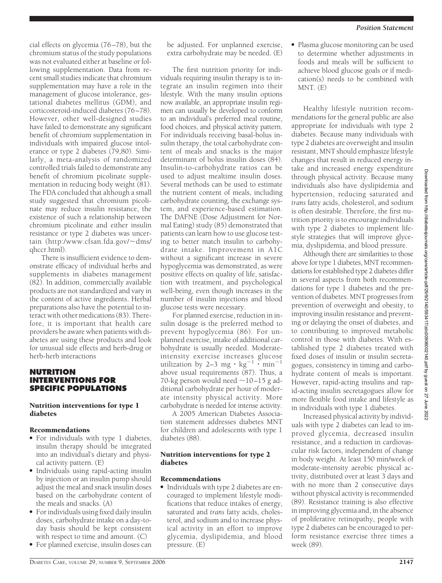cial effects on glycemia (76 –78), but the chromium status of the study populations was not evaluated either at baseline or following supplementation. Data from recent small studies indicate that chromium supplementation may have a role in the management of glucose intolerance, gestational diabetes mellitus (GDM), and corticosteroid-induced diabetes (76 –78). However, other well-designed studies have failed to demonstrate any significant benefit of chromium supplementation in individuals with impaired glucose intolerance or type 2 diabetes (79,80). Similarly, a meta-analysis of randomized controlled trials failed to demonstrate any benefit of chromium picolinate supplementation in reducing body weight (81). The FDA concluded that although a small study suggested that chromium picolinate may reduce insulin resistance, the existence of such a relationship between chromium picolinate and either insulin resistance or type 2 diabetes was uncertain (http:/www.cfsan.fda.gov/~dms/ qhccr.html).

There is insufficient evidence to demonstrate efficacy of individual herbs and supplements in diabetes management (82). In addition, commercially available products are not standardized and vary in the content of active ingredients. Herbal preparations also have the potential to interact with other medications (83). Therefore, it is important that health care providers be aware when patients with diabetes are using these products and look for unusual side effects and herb-drug or herb-herb interactions

## **NUTRITION INTERVENTIONS FOR SPECIFIC POPULATIONS**

## Nutrition interventions for type 1 diabetes

## Recommendations

- For individuals with type 1 diabetes, insulin therapy should be integrated into an individual's dietary and physical activity pattern. (E)
- Individuals using rapid-acting insulin by injection or an insulin pump should adjust the meal and snack insulin doses based on the carbohydrate content of the meals and snacks. (A)
- For individuals using fixed daily insulin doses, carbohydrate intake on a day-today basis should be kept consistent with respect to time and amount. (C)
- For planned exercise, insulin doses can

be adjusted. For unplanned exercise, extra carbohydrate may be needed. (E)

The first nutrition priority for individuals requiring insulin therapy is to integrate an insulin regimen into their lifestyle. With the many insulin options now available, an appropriate insulin regimen can usually be developed to conform to an individual's preferred meal routine, food choices, and physical activity pattern. For individuals receiving basal-bolus insulin therapy, the total carbohydrate content of meals and snacks is the major determinant of bolus insulin doses (84). Insulin-to-carbohydrate ratios can be used to adjust mealtime insulin doses. Several methods can be used to estimate the nutrient content of meals, including carbohydrate counting, the exchange system, and experience-based estimation. The DAFNE (Dose Adjustment for Normal Eating) study (85) demonstrated that patients can learn how to use glucose testing to better match insulin to carbohydrate intake. Improvement in A1C without a significant increase in severe hypoglycemia was demonstrated, as were positive effects on quality of life, satisfaction with treatment, and psychological well-being, even though increases in the number of insulin injections and blood glucose tests were necessary.

For planned exercise, reduction in insulin dosage is the preferred method to prevent hypoglycemia (86). For unplanned exercise, intake of additional carbohydrate is usually needed. Moderateintensity exercise increases glucose utilization by 2–3 mg  $\cdot$  kg<sup>-1</sup>  $\cdot$  min<sup>-1</sup> above usual requirements (87). Thus, a 70-kg person would need  $\sim$ 10–15 g additional carbohydrate per hour of moderate intensity physical activity. More carbohydrate is needed for intense activity.

A 2005 American Diabetes Association statement addresses diabetes MNT for children and adolescents with type 1 diabetes (88).

## Nutrition interventions for type 2 diabetes

# Recommendations

● Individuals with type 2 diabetes are encouraged to implement lifestyle modifications that reduce intakes of energy, saturated and *trans* fatty acids, cholesterol, and sodium and to increase physical activity in an effort to improve glycemia, dyslipidemia, and blood pressure. (E)

● Plasma glucose monitoring can be used to determine whether adjustments in foods and meals will be sufficient to achieve blood glucose goals or if medication(s) needs to be combined with MNT. (E)

Healthy lifestyle nutrition recommendations for the general public are also appropriate for individuals with type 2 diabetes. Because many individuals with type 2 diabetes are overweight and insulin resistant, MNT should emphasize lifestyle changes that result in reduced energy intake and increased energy expenditure through physical activity. Because many individuals also have dyslipidemia and hypertension, reducing saturated and *trans* fatty acids, cholesterol, and sodium is often desirable. Therefore, the first nutrition priority is to encourage individuals with type 2 diabetes to implement lifestyle strategies that will improve glycemia, dyslipidemia, and blood pressure.

Although there are similarities to those above for type 1 diabetes, MNT recommendations for established type 2 diabetes differ in several aspects from both recommendations for type 1 diabetes and the prevention of diabetes. MNT progresses from prevention of overweight and obesity, to improving insulin resistance and preventing or delaying the onset of diabetes, and to contributing to improved metabolic control in those with diabetes. With established type 2 diabetes treated with fixed doses of insulin or insulin secretagogues, consistency in timing and carbohydrate content of meals is important. However, rapid-acting insulins and rapid-acting insulin secretagogues allow for more flexible food intake and lifestyle as in individuals with type 1 diabetes.

Increased physical activity by individuals with type 2 diabetes can lead to improved glycemia, decreased insulin resistance, and a reduction in cardiovascular risk factors, independent of change in body weight. At least 150 min/week of moderate-intensity aerobic physical activity, distributed over at least 3 days and with no more than 2 consecutive days without physical activity is recommended (89). Resistance training is also effective in improving glycemia and, in the absence of proliferative retinopathy, people with type 2 diabetes can be encouraged to perform resistance exercise three times a week (89).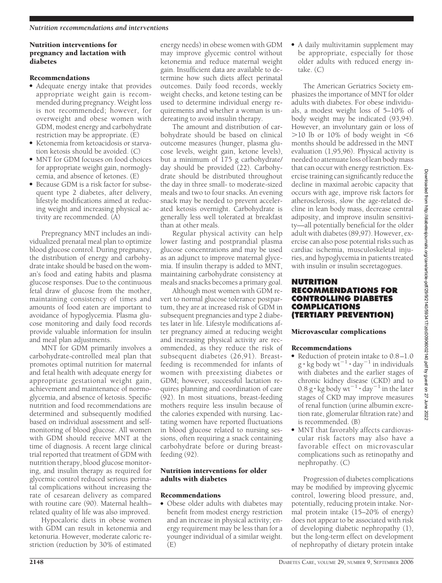### Nutrition interventions for pregnancy and lactation with diabetes

## Recommendations

- Adequate energy intake that provides appropriate weight gain is recommended during pregnancy. Weight loss is not recommended; however, for overweight and obese women with GDM, modest energy and carbohydrate restriction may be appropriate. (E)
- Ketonemia from ketoacidosis or starvation ketosis should be avoided. (C)
- MNT for GDM focuses on food choices for appropriate weight gain, normoglycemia, and absence of ketones. (E)
- Because GDM is a risk factor for subsequent type 2 diabetes, after delivery, lifestyle modifications aimed at reducing weight and increasing physical activity are recommended. (A)

Prepregnancy MNT includes an individualized prenatal meal plan to optimize blood glucose control. During pregnancy, the distribution of energy and carbohydrate intake should be based on the woman's food and eating habits and plasma glucose responses. Due to the continuous fetal draw of glucose from the mother, maintaining consistency of times and amounts of food eaten are important to avoidance of hypoglycemia. Plasma glucose monitoring and daily food records provide valuable information for insulin and meal plan adjustments.

MNT for GDM primarily involves a carbohydrate-controlled meal plan that promotes optimal nutrition for maternal and fetal health with adequate energy for appropriate gestational weight gain, achievement and maintenance of normoglycemia, and absence of ketosis. Specific nutrition and food recommendations are determined and subsequently modified based on individual assessment and selfmonitoring of blood glucose. All women with GDM should receive MNT at the time of diagnosis. A recent large clinical trial reported that treatment of GDM with nutrition therapy, blood glucose monitoring, and insulin therapy as required for glycemic control reduced serious perinatal complications without increasing the rate of cesarean delivery as compared with routine care (90). Maternal health– related quality of life was also improved.

Hypocaloric diets in obese women with GDM can result in ketonemia and ketonuria. However, moderate caloric restriction (reduction by 30% of estimated

energy needs) in obese women with GDM may improve glycemic control without ketonemia and reduce maternal weight gain. Insufficient data are available to determine how such diets affect perinatal outcomes. Daily food records, weekly weight checks, and ketone testing can be used to determine individual energy requirements and whether a woman is undereating to avoid insulin therapy.

The amount and distribution of carbohydrate should be based on clinical outcome measures (hunger, plasma glucose levels, weight gain, ketone levels), but a minimum of 175 g carbohydrate/ day should be provided (22). Carbohydrate should be distributed throughout the day in three small- to moderate-sized meals and two to four snacks. An evening snack may be needed to prevent accelerated ketosis overnight. Carbohydrate is generally less well tolerated at breakfast than at other meals.

Regular physical activity can help lower fasting and postprandial plasma glucose concentrations and may be used as an adjunct to improve maternal glycemia. If insulin therapy is added to MNT, maintaining carbohydrate consistency at meals and snacks becomes a primary goal.

Although most women with GDM revert to normal glucose tolerance postpartum, they are at increased risk of GDM in subsequent pregnancies and type 2 diabetes later in life. Lifestyle modifications after pregnancy aimed at reducing weight and increasing physical activity are recommended, as they reduce the risk of subsequent diabetes (26,91). Breastfeeding is recommended for infants of women with preexisting diabetes or GDM; however, successful lactation requires planning and coordination of care (92). In most situations, breast-feeding mothers require less insulin because of the calories expended with nursing. Lactating women have reported fluctuations in blood glucose related to nursing sessions, often requiring a snack containing carbohydrate before or during breastfeeding (92).

## Nutrition interventions for older adults with diabetes

## Recommendations

• Obese older adults with diabetes may benefit from modest energy restriction and an increase in physical activity; energy requirement may be less than for a younger individual of a similar weight. (E)

● A daily multivitamin supplement may be appropriate, especially for those older adults with reduced energy intake. (C)

The American Geriatrics Society emphasizes the importance of MNT for older adults with diabetes. For obese individuals, a modest weight loss of 5–10% of body weight may be indicated (93,94). However, an involuntary gain or loss of  $>$ 10 lb or 10% of body weight in  $<$ 6 months should be addressed in the MNT evaluation (1,95,96). Physical activity is needed to attenuate loss of lean body mass that can occur with energy restriction. Exercise training can significantly reduce the decline in maximal aerobic capacity that occurs with age, improve risk factors for atherosclerosis, slow the age-related decline in lean body mass, decrease central adiposity, and improve insulin sensitivity—all potentially beneficial for the older adult with diabetes (89,97). However, exercise can also pose potential risks such as cardiac ischemia, musculoskeletal injuries, and hypoglycemia in patients treated with insulin or insulin secretagogues.

### **NUTRITION RECOMMENDATIONS FOR CONTROLLING DIABETES COMPLICATIONS (TERTIARY PREVENTION)**

## Microvascular complications

## Recommendations

- Reduction of protein intake to 0.8 –1.0  $g \cdot$  kg body  $wt^{-1} \cdot$  day $^{-1}$  in individuals with diabetes and the earlier stages of chronic kidney disease (CKD) and to  $0.8 g \cdot$  kg body wt<sup>-1</sup>  $\cdot$  day<sup>-1</sup> in the later stages of CKD may improve measures of renal function (urine albumin excretion rate, glomerular filtration rate) and is recommended. (B)
- MNT that favorably affects cardiovascular risk factors may also have a favorable effect on microvascular complications such as retinopathy and nephropathy. (C)

Progression of diabetes complications may be modified by improving glycemic control, lowering blood pressure, and, potentially, reducing protein intake. Normal protein intake (15–20% of energy) does not appear to be associated with risk of developing diabetic nephropathy (1), but the long-term effect on development of nephropathy of dietary protein intake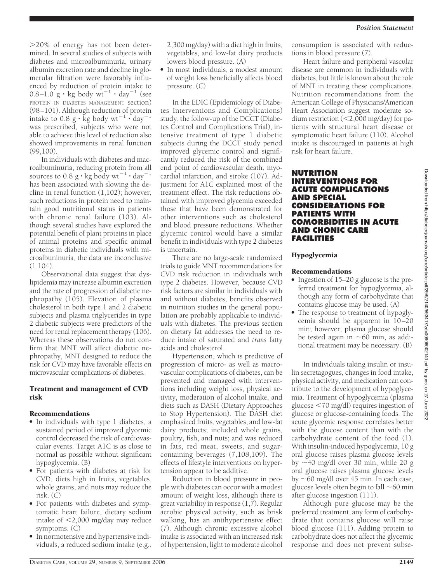20% of energy has not been determined. In several studies of subjects with diabetes and microalbuminuria, urinary albumin excretion rate and decline in glomerular filtration were favorably influenced by reduction of protein intake to  $0.8-1.0$  g  $\cdot$  kg body wt<sup>-1</sup>  $\cdot$  day<sup>-1</sup> (see PROTEIN IN DIABETES MANAGEMENT section) (98 –101). Although reduction of protein intake to 0.8 g  $\cdot$  kg body wt<sup>-1</sup>  $\cdot$  day<sup>-1</sup> was prescribed, subjects who were not able to achieve this level of reduction also showed improvements in renal function  $(99,100)$ .

In individuals with diabetes and macroalbuminuria, reducing protein from all sources to  $0.8 \text{ g} \cdot \text{kg}$  body wt<sup>-1</sup>  $\cdot$  day<sup>-1</sup> has been associated with slowing the decline in renal function (1,102); however, such reductions in protein need to maintain good nutritional status in patients with chronic renal failure (103). Although several studies have explored the potential benefit of plant proteins in place of animal proteins and specific animal proteins in diabetic individuals with microalbuninuria, the data are inconclusive (1,104).

Observational data suggest that dyslipidemia may increase albumin excretion and the rate of progression of diabetic nephropathy (105). Elevation of plasma cholesterol in both type 1 and 2 diabetic subjects and plasma triglycerides in type 2 diabetic subjects were predictors of the need for renal replacement therapy (106). Whereas these observations do not confirm that MNT will affect diabetic nephropathy, MNT designed to reduce the risk for CVD may have favorable effects on microvascular complications of diabetes.

#### Treatment and management of CVD risk

## Recommendations

- In individuals with type 1 diabetes, a sustained period of improved glycemic control decreased the risk of cardiovascular events. Target A1C is as close to normal as possible without significant hypoglycemia. (B)
- For patients with diabetes at risk for CVD, diets high in fruits, vegetables, whole grains, and nuts may reduce the risk. (C)
- For patients with diabetes and symptomatic heart failure, dietary sodium intake of -2,000 mg/day may reduce symptoms. (C)
- In normotensive and hypertensive individuals, a reduced sodium intake (e.g.,

2,300 mg/day) with a diet high in fruits, vegetables, and low-fat dairy products lowers blood pressure. (A)

● In most individuals, a modest amount of weight loss beneficially affects blood pressure. (C)

In the EDIC (Epidemiology of Diabetes Interventions and Complications) study, the follow-up of the DCCT (Diabetes Control and Complications Trial), intensive treatment of type 1 diabetic subjects during the DCCT study period improved glycemic control and significantly reduced the risk of the combined end point of cardiovascular death, myocardial infarction, and stroke (107). Adjustment for A1C explained most of the treatment effect. The risk reductions obtained with improved glycemia exceeded those that have been demonstrated for other interventions such as cholesterol and blood pressure reductions. Whether glycemic control would have a similar benefit in individuals with type 2 diabetes is uncertain.

There are no large-scale randomized trials to guide MNT recommendations for CVD risk reduction in individuals with type 2 diabetes. However, because CVD risk factors are similar in individuals with and without diabetes, benefits observed in nutrition studies in the general population are probably applicable to individuals with diabetes. The previous section on dietary fat addresses the need to reduce intake of saturated and *trans* fatty acids and cholesterol.

Hypertension, which is predictive of progression of micro- as well as macrovascular complications of diabetes, can be prevented and managed with interventions including weight loss, physical activity, moderation of alcohol intake, and diets such as DASH (Dietary Approaches to Stop Hypertension). The DASH diet emphasized fruits, vegetables, and low-fat dairy products; included whole grains, poultry, fish, and nuts; and was reduced in fats, red meat, sweets, and sugarcontaining beverages (7,108,109). The effects of lifestyle interventions on hypertension appear to be additive.

Reduction in blood pressure in people with diabetes can occur with a modest amount of weight loss, although there is great variability in response (1,7). Regular aerobic physical activity, such as brisk walking, has an antihypertensive effect (7). Although chronic excessive alcohol intake is associated with an increased risk of hypertension, light to moderate alcohol

consumption is associated with reductions in blood pressure (7).

Heart failure and peripheral vascular disease are common in individuals with diabetes, but little is known about the role of MNT in treating these complications. Nutrition recommendations from the American College of Physicians/American Heart Association suggest moderate sodium restriction (<2,000 mg/day) for patients with structural heart disease or symptomatic heart failure (110). Alcohol intake is discouraged in patients at high risk for heart failure.

### **NUTRITION INTERVENTIONS FOR ACUTE COMPLICATIONS AND SPECIAL CONSIDERATIONS FOR PATIENTS WITH COMORBIDITIES IN ACUTE AND CHONIC CARE FACILITIES**

## Hypoglycemia

#### Recommendations

- Ingestion of 15–20 g glucose is the preferred treatment for hypoglycemia, although any form of carbohydrate that contains glucose may be used. (A)
- The response to treatment of hypoglycemia should be apparent in 10 –20 min; however, plasma glucose should be tested again in  $\sim 60$  min, as additional treatment may be necessary. (B)

In individuals taking insulin or insulin secretagogues, changes in food intake, physical activity, and medication can contribute to the development of hypoglycemia. Treatment of hypoglycemia (plasma glucose -70 mg/dl) requires ingestion of glucose or glucose-containing foods. The acute glycemic response correlates better with the glucose content than with the carbohydrate content of the food (1). With insulin-induced hypoglycemia, 10 g oral glucose raises plasma glucose levels by  $\sim$ 40 mg/dl over 30 min, while 20 g oral glucose raises plasma glucose levels by  $\sim$  60 mg/dl over 45 min. In each case, glucose levels often begin to fall  $\sim$  60 min after glucose ingestion (111).

Although pure glucose may be the preferred treatment, any form of carbohydrate that contains glucose will raise blood glucose (111). Adding protein to carbohydrate does not affect the glycemic response and does not prevent subse-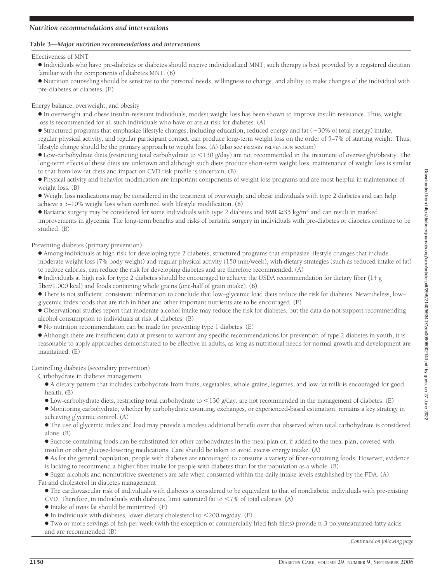## **Table 3—***Major nutrition recommendations and interventions*

Effectiveness of MNT

● Individuals who have pre-diabetes or diabetes should receive individualized MNT; such therapy is best provided by a registered dietitian familiar with the components of diabetes MNT. (B)

● Nutrition counseling should be sensitive to the personal needs, willingness to change, and ability to make changes of the individual with pre-diabetes or diabetes. (E)

Energy balance, overweight, and obesity

● In overweight and obese insulin-resistant individuals, modest weight loss has been shown to improve insulin resistance. Thus, weight loss is recommended for all such individuals who have or are at risk for diabetes. (A)

• Structured programs that emphasize lifestyle changes, including education, reduced energy and fat ( $\sim$ 30% of total energy) intake,

regular physical activity, and regular participant contact, can produce long-term weight loss on the order of 5–7% of starting weight. Thus, lifestyle change should be the primary approach to weight loss. (A) (also see PRIMARY PREVENTION section)

● Low-carbohydrate diets (restricting total carbohydrate to <130 g/day) are not recommended in the treatment of overweight/obesity. The long-term effects of these diets are unknown and although such diets produce short-term weight loss, maintenance of weight loss is similar to that from low-fat diets and impact on CVD risk profile is uncertain. (B)

● Physical activity and behavior modification are important components of weight loss programs and are most helpful in maintenance of weight loss. (B)

● Weight loss medications may be considered in the treatment of overweight and obese individuals with type 2 diabetes and can help achieve a 5–10% weight loss when combined with lifestyle modification. (B)

• Bariatric surgery may be considered for some individuals with type 2 diabetes and BMI  $\geq$ 35 kg/m<sup>2</sup> and can result in marked improvements in glycemia. The long-term benefits and risks of bariatric surgery in individuals with pre-diabetes or diabetes continue to be studied. (B)

Preventing diabetes (primary prevention)

● Among individuals at high risk for developing type 2 diabetes, structured programs that emphasize lifestyle changes that include moderate weight loss (7% body weight) and regular physical activity (150 min/week), with dietary strategies (such as reduced intake of fat) to reduce calories, can reduce the risk for developing diabetes and are therefore recommended. (A)

● Individuals at high risk for type 2 diabetes should be encouraged to achieve the USDA recommendation for dietary fiber (14 g fiber/1,000 kcal) and foods containing whole grains (one-half of grain intake). (B)

● There is not sufficient, consistent information to conclude that low–glycemic load diets reduce the risk for diabetes. Nevertheless, low– glycemic index foods that are rich in fiber and other important nutrients are to be encouraged. (E)

● Observational studies report that moderate alcohol intake may reduce the risk for diabetes, but the data do not support recommending alcohol consumption to individuals at risk of diabetes. (B)

● No nutrition recommendation can be made for preventing type 1 diabetes. (E)

● Although there are insufficient data at present to warrant any specific recommendations for prevention of type 2 diabetes in youth, it is reasonable to apply approaches demonstrated to be effective in adults, as long as nutritional needs for normal growth and development are maintained. (E)

Controlling diabetes (secondary prevention)

Carbohydrate in diabetes management

● A dietary pattern that includes carbohydrate from fruits, vegetables, whole grains, legumes, and low-fat milk is encouraged for good health. (B)

● Low-carbohydrate diets, restricting total carbohydrate to <130 g/day, are not recommended in the management of diabetes. (E)

● Monitoring carbohydrate, whether by carbohydrate counting, exchanges, or experienced-based estimation, remains a key strategy in achieving glycemic control. (A)

● The use of glycemic index and load may provide a modest additional benefit over that observed when total carbohydrate is considered alone. (B)

● Sucrose-containing foods can be substituted for other carbohydrates in the meal plan or, if added to the meal plan, covered with insulin or other glucose-lowering medications. Care should be taken to avoid excess energy intake. (A)

● As for the general population, people with diabetes are encouraged to consume a variety of fiber-containing foods. However, evidence

is lacking to recommend a higher fiber intake for people with diabetes than for the population as a whole. (B)

● Sugar alcohols and nonnutritive sweeteners are safe when consumed within the daily intake levels established by the FDA. (A)

Fat and cholesterol in diabetes management

● The cardiovascular risk of individuals with diabetes is considered to be equivalent to that of nondiabetic individuals with pre-existing CVD. Therefore, in individuals with diabetes, limit saturated fat to  $<$ 7% of total calories. (A)

● Intake of *trans* fat should be minimized. (E)

● In individuals with diabetes, lower dietary cholesterol to <200 mg/day. (E)

● Two or more servings of fish per week (with the exception of commercially fried fish filets) provide n-3 polyunsaturated fatty acids and are recommended. (B)

*Continued on following page*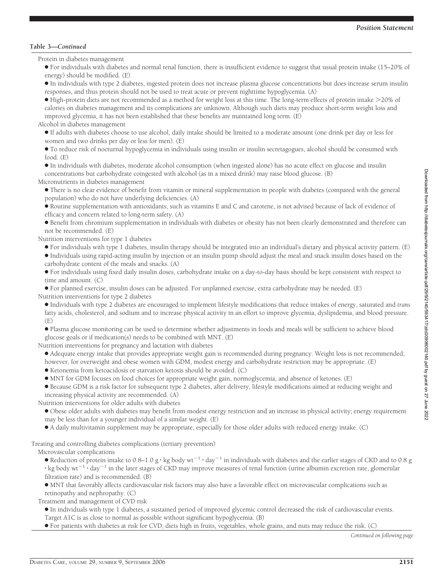### **Table 3—***Continued*

Protein in diabetes management

- For individuals with diabetes and normal renal function, there is insufficient evidence to suggest that usual protein intake (15–20% of energy) should be modified. (E)
- In individuals with type 2 diabetes, ingested protein does not increase plasma glucose concentrations but does increase serum insulin responses, and thus protein should not be used to treat acute or prevent nighttime hypoglycemia. (A)

● High-protein diets are not recommended as a method for weight loss at this time. The long-term effects of protein intake 20% of calories on diabetes management and its complications are unknown. Although such diets may produce short-term weight loss and improved glycemia, it has not been established that these benefits are maintained long term. (E)

#### Alcohol in diabetes management

● If adults with diabetes choose to use alcohol, daily intake should be limited to a moderate amount (one drink per day or less for women and two drinks per day or less for men). (E)

● To reduce risk of nocturnal hypoglycemia in individuals using insulin or insulin secretagogues, alcohol should be consumed with food. (E)

● In individuals with diabetes, moderate alcohol consumption (when ingested alone) has no acute effect on glucose and insulin concentrations but carbohydrate coingested with alcohol (as in a mixed drink) may raise blood glucose. (B) Micronutrients in diabetes management

● There is no clear evidence of benefit from vitamin or mineral supplementation in people with diabetes (compared with the general population) who do not have underlying deficiencies. (A)

● Routine supplementation with antioxidants, such as vitamins E and C and carotene, is not advised because of lack of evidence of efficacy and concern related to long-term safety. (A)

● Benefit from chromium supplementation in individuals with diabetes or obesity has not been clearly demonstrated and therefore can not be recommended. (E)

Nutrition interventions for type 1 diabetes

● For individuals with type 1 diabetes, insulin therapy should be integrated into an individual's dietary and physical activity pattern. (E)

● Individuals using rapid-acting insulin by injection or an insulin pump should adjust the meal and snack insulin doses based on the carbohydrate content of the meals and snacks. (A)

● For individuals using fixed daily insulin doses, carbohydrate intake on a day-to-day basis should be kept consistent with respect to time and amount. (C)

● For planned exercise, insulin doses can be adjusted. For unplanned exercise, extra carbohydrate may be needed. (E) Nutrition interventions for type 2 diabetes

● Individuals with type 2 diabetes are encouraged to implement lifestyle modifications that reduce intakes of energy, saturated and *trans* fatty acids, cholesterol, and sodium and to increase physical activity in an effort to improve glycemia, dyslipidemia, and blood pressure.  $(F)$ 

● Plasma glucose monitoring can be used to determine whether adjustments in foods and meals will be sufficient to achieve blood glucose goals or if medication(s) needs to be combined with MNT. (E)

Nutrition interventions for pregnancy and lactation with diabetes

- Adequate energy intake that provides appropriate weight gain is recommended during pregnancy. Weight loss is not recommended; however, for overweight and obese women with GDM, modest energy and carbohydrate restriction may be appropriate. (E)
- Ketonemia from ketoacidosis or starvation ketosis should be avoided. (C)
- MNT for GDM focuses on food choices for appropriate weight gain, normoglycemia, and absence of ketones. (E)

● Because GDM is a risk factor for subsequent type 2 diabetes, after delivery, lifestyle modifications aimed at reducing weight and increasing physical activity are recommended. (A)

Nutrition interventions for older adults with diabetes

● Obese older adults with diabetes may benefit from modest energy restriction and an increase in physical activity; energy requirement may be less than for a younger individual of a similar weight. (E)

● A daily multivitamin supplement may be appropriate, especially for those older adults with reduced energy intake. (C)

Treating and controlling diabetes complications (tertiary prevention)

Microvascular complications

Reduction of protein intake to 0.8–1.0 g  $\cdot$  kg body wt<sup>-1</sup>  $\cdot$  day<sup>-1</sup> in individuals with diabetes and the earlier stages of CKD and to 0.8 g  $\cdot$  kg body wt<sup>-1</sup>  $\cdot$  day<sup>-1</sup> in the later stages of CKD may improve measures of renal function (urine albumin excretion rate, glomerular filtration rate) and is recommended. (B)

● MNT that favorably affects cardiovascular risk factors may also have a favorable effect on microvascular complications such as retinopathy and nephropathy. (C)

Treatment and management of CVD risk

● In individuals with type 1 diabetes, a sustained period of improved glycemic control decreased the risk of cardiovascular events. Target A1C is as close to normal as possible without significant hypoglycemia. (B)

● For patients with diabetes at risk for CVD, diets high in fruits, vegetables, whole grains, and nuts may reduce the risk. (C)

*Continued on following page*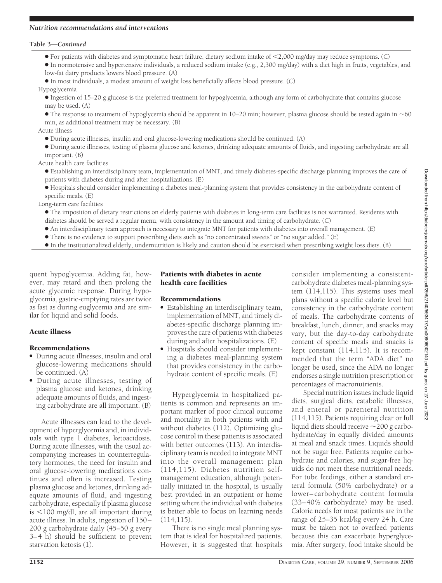#### **Table 3—***Continued*

● For patients with diabetes and symptomatic heart failure, dietary sodium intake of -2,000 mg/day may reduce symptoms. (C)

- In normotensive and hypertensive individuals, a reduced sodium intake (e.g., 2,300 mg/day) with a diet high in fruits, vegetables, and low-fat dairy products lowers blood pressure. (A)
- In most individuals, a modest amount of weight loss beneficially affects blood pressure. (C)

#### Hypoglycemia

- Ingestion of 15–20 g glucose is the preferred treatment for hypoglycemia, although any form of carbohydrate that contains glucose may be used. (A)
- The response to treatment of hypoglycemia should be apparent in  $10-20$  min; however, plasma glucose should be tested again in  $\sim$  60 min, as additional treatment may be necessary. (B)

### Acute illness

- During acute illnesses, insulin and oral glucose-lowering medications should be continued. (A)
- During acute illnesses, testing of plasma glucose and ketones, drinking adequate amounts of fluids, and ingesting carbohydrate are all important. (B)

Acute health care facilities

● Establishing an interdisciplinary team, implementation of MNT, and timely diabetes-specific discharge planning improves the care of patients with diabetes during and after hospitalizations. (E)

● Hospitals should consider implementing a diabetes meal-planning system that provides consistency in the carbohydrate content of specific meals. (E)

Long-term care facilities

- The imposition of dietary restrictions on elderly patients with diabetes in long-term care facilities is not warranted. Residents with diabetes should be served a regular menu, with consistency in the amount and timing of carbohydrate. (C)
- An interdisciplinary team approach is necessary to integrate MNT for patients with diabetes into overall management. (E)
- There is no evidence to support prescribing diets such as "no concentrated sweets" or "no sugar added." (E)
- In the institutionalized elderly, undernutrition is likely and caution should be exercised when prescribing weight loss diets. (B)

quent hypoglycemia. Adding fat, however, may retard and then prolong the acute glycemic response. During hypoglycemia, gastric-emptying rates are twice as fast as during euglycemia and are similar for liquid and solid foods.

## Acute illness

## Recommendations

- During acute illnesses, insulin and oral glucose-lowering medications should be continued. (A)
- During acute illnesses, testing of plasma glucose and ketones, drinking adequate amounts of fluids, and ingesting carbohydrate are all important. (B)

Acute illnesses can lead to the development of hyperglycemia and, in individuals with type 1 diabetes, ketoacidosis. During acute illnesses, with the usual accompanying increases in counterregulatory hormones, the need for insulin and oral glucose-lowering medications continues and often is increased. Testing plasma glucose and ketones, drinking adequate amounts of fluid, and ingesting carbohydrate, especially if plasma glucose is -100 mg/dl, are all important during acute illness. In adults, ingestion of 150 – 200 g carbohydrate daily (45–50 g every 3– 4 h) should be sufficient to prevent starvation ketosis (1).

## Patients with diabetes in acute health care facilities

## Recommendations

- Establishing an interdisciplinary team, implementation of MNT, and timely diabetes-specific discharge planning improves the care of patients with diabetes during and after hospitalizations. (E)
- Hospitals should consider implementing a diabetes meal-planning system that provides consistency in the carbohydrate content of specific meals. (E)

Hyperglycemia in hospitalized patients is common and represents an important marker of poor clinical outcome and mortality in both patients with and without diabetes (112). Optimizing glucose control in these patients is associated with better outcomes (113). An interdisciplinary team is needed to integrate MNT into the overall management plan (114,115). Diabetes nutrition selfmanagement education, although potentially initiated in the hospital, is usually best provided in an outpatient or home setting where the individual with diabetes is better able to focus on learning needs (114,115).

There is no single meal planning system that is ideal for hospitalized patients. However, it is suggested that hospitals consider implementing a consistentcarbohydrate diabetes meal-planning system (114,115). This systems uses meal plans without a specific calorie level but consistency in the carbohydrate content of meals. The carbohydrate contents of breakfast, lunch, dinner, and snacks may vary, but the day-to-day carbohydrate content of specific meals and snacks is kept constant (114,115). It is recommended that the term "ADA diet" no longer be used, since the ADA no longer endorses a single nutrition prescription or percentages of macronutrients.

Special nutrition issues include liquid diets, surgical diets, catabolic illnesses, and enteral or parenteral nutrition (114,115). Patients requiring clear or full liquid diets should receive  $\sim$  200 g carbohydrate/day in equally divided amounts at meal and snack times. Liquids should not be sugar free. Patients require carbohydrate and calories, and sugar-free liquids do not meet these nutritional needs. For tube feedings, either a standard enteral formula (50% carbohydrate) or a lower– carbohydrate content formula (33– 40% carbohydrate) may be used. Calorie needs for most patients are in the range of 25–35 kcal/kg every 24 h. Care must be taken not to overfeed patients because this can exacerbate hyperglycemia. After surgery, food intake should be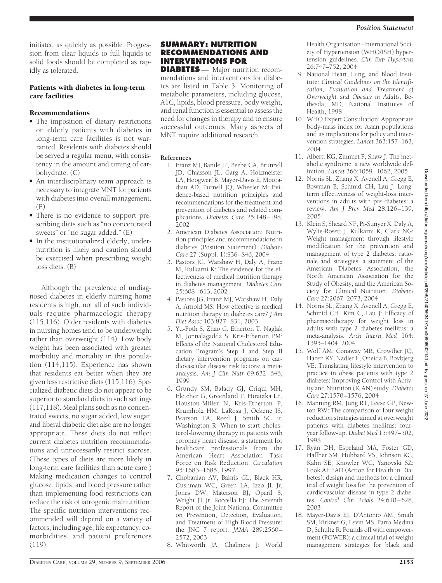initiated as quickly as possible. Progression from clear liquids to full liquids to solid foods should be completed as rapidly as tolerated.

## Patients with diabetes in long-term care facilities

## Recommendations

- The imposition of dietary restrictions on elderly patients with diabetes in long-term care facilities is not warranted. Residents with diabetes should be served a regular menu, with consistency in the amount and timing of carbohydrate. (C)
- An interdisciplinary team approach is necessary to integrate MNT for patients with diabetes into overall management. (E)
- There is no evidence to support prescribing diets such as "no concentrated sweets" or "no sugar added." (E)
- In the institutionalized elderly, undernutrition is likely and caution should be exercised when prescribing weight loss diets. (B)

Although the prevalence of undiagnosed diabetes in elderly nursing home residents is high, not all of such individuals require pharmacologic therapy (115,116). Older residents with diabetes in nursing homes tend to be underweight rather than overweight (114). Low body weight has been associated with greater morbidity and mortality in this population (114,115). Experience has shown that residents eat better when they are given less restrictive diets (115,116). Specialized diabetic diets do not appear to be superior to standard diets in such settings (117,118). Meal plans such as no concentrated sweets, no sugar added, low sugar, and liberal diabetic diet also are no longer appropriate. These diets do not reflect current diabetes nutrition recommendations and unnecessarily restrict sucrose. (These types of diets are more likely in long-term care facilities than acute care.) Making medication changes to control glucose, lipids, and blood pressure rather than implementing food restrictions can reduce the risk of iatrogenic malnutrition. The specific nutrition interventions recommended will depend on a variety of factors, including age, life expectancy, comorbidities, and patient preferences (119).

# **SUMMARY: NUTRITION RECOMMENDATIONS AND INTERVENTIONS FOR**

**DIABETES** — Major nutrition recommendations and interventions for diabetes are listed in Table 3. Monitoring of metabolic parameters, including glucose, A1C, lipids, blood pressure, body weight, and renal function is essential to assess the need for changes in therapy and to ensure successful outcomes. Many aspects of MNT require additional research.

#### **References**

- 1. Franz MJ, Bantle JP, Beebe CA, Brunzell JD, Chiasson JL, Garg A, Holzmeister LA, Hoogwerf B, Mayer-Davis E, Mooradian AD, Purnell JQ, Wheeler M: Evidence-based nutrition principles and recommendations for the treatment and prevention of diabetes and related complications. *Diabetes Care* 25:148 –198, 2002
- 2. American Diabetes Association: Nutrition principles and recommendations in diabetes (Position Statement). *Diabetes Care* 27 (Suppl. 1):S36 –S46, 2004
- 3. Pastors JG, Warshaw H, Daly A, Franz M, Kulkarni K: The evidence for the effectiveness of medical nutrition therapy in diabetes management. *Diabetes Care* 25:608 – 613, 2002
- 4. Pastors JG, Franz MJ, Warshaw H, Daly A, Arnold MS: How effective is medical nutrition therapy in diabetes care? *J Am Diet Assoc* 103:827– 831, 2003
- 5. Yu-Poth S, Zhao G, Etherton T, Naglak M, Jonnalagadda S, Kris-Etherton PM: Effects of the National Cholesterol Education Program's Step I and Step II dietary intervention programs on cardiovascular disease risk factors: a metaanalysis. *Am J Clin Nutr* 69:632– 646, 1999
- 6. Grundy SM, Balady GJ, Criqui MH, Fletcher G, Greenland P, Hiratzka LF, Houston-Miller N, Kris-Etherton P, Krumholz HM, LaRosa J, Ockene IS, Pearson TA, Reed J, Smith SC Jr, Washington R: When to start cholesterol-lowering therapy in patients with coronary heart disease: a statement for healthcare professionals from the American Heart Association Task Force on Risk Reduction. *Circulation* 95:1683–1685, 1997
- 7. Chobanian AV, Bakris GL, Black HR, Cushman WC, Green LA, Izzo JL Jr, Jones DW, Materson BJ, Oparil S, Wright JT Jr, Roccella EJ: The Seventh Report of the Joint National Committee on Prevention, Detection, Evaluation, and Treatment of High Blood Pressure: the JNC 7 report. *JAMA* 289:2560 – 2572, 2003
- 8. Whitworth JA, Chalmers J: World

Health Organisation–International Society of Hypertension (WHO/ISH) hypertension guidelines. *Clin Exp Hypertens* 26:747–752, 2004

- 9. National Heart, Lung, and Blood Institute: *Clinical Guidelines on the Identification, Evaluation and Treatment of Overweight and Obesity in Adults.* Bethesda, MD, National Institutes of Health, 1998
- 10. WHO Expert Consultation: Appropriate body-mass index for Asian populations and its implications for policy and intervention strategies. *Lancet* 363:157–163, 2004
- 11. Alberti KG, Zimmet P, Shaw J: The metabolic syndrome: a new worldwide definition. *Lancet* 366:1059 –1062, 2005
- 12. Norris SL, Zhang X, Avenell A, Gregg E, Bowman B, Schmid CH, Lau J: Longterm effectiveness of weight-loss interventions in adults with pre-diabetes: a review. *Am J Prev Med* 28:126 –139, 2005
- 13. Klein S, Sheard NF, Pi-Sunyer X, Daly A, Wylie-Rosett J, Kulkarni K, Clark NG: Weight management through lifestyle modification for the prevention and management of type 2 diabetes: rationale and strategies: a statement of the American Diabetes Association, the North American Association for the Study of Obesity, and the American Society for Clinical Nutrition. *Diabetes Care* 27:2067–2073, 2004
- 14. Norris SL, Zhang X, Avenell A, Gregg E, Schmid CH, Kim C, Lau J: Efficacy of pharmacotherapy for weight loss in adults with type 2 diabetes mellitus: a meta-analysis. *Arch Intern Med* 164: 1395–1404, 2004
- 15. Wolf AM, Conaway MR, Crowther JQ, Hazen KY, Nadler L, Oneida B, Bovbjerg VE: Translating lifestyle intervention to practice in obese patients with type 2 diabetes: Improving Control with Activity and Nutrition (ICAN) study. *Diabetes Care* 27:1570 –1576, 2004
- 16. Manning RM, Jung RT, Leese GP, Newton RW: The comparison of four weight reduction strategies aimed at overweight patients with diabetes mellitus: fouryear follow-up. *Diabet Med* 15:497–502, 1998
- 17. Ryan DH, Espeland MA, Foster GD, Haffner SM, Hubbard VS, Johnson KC, Kahn SE, Knowler WC, Yanovski SZ: Look AHEAD (Action for Health in Diabetes): design and methods for a clinical trial of weight loss for the prevention of cardiovascular disease in type 2 diabetes. *Control Clin Trials* 24:610 – 628, 2003
- 18. Mayer-Davis EJ, D'Antonio AM, Smith SM, Kirkner G, Levin MS, Parra-Medina D, Schultz R: Pounds off with empowerment (POWER): a clinical trial of weight management strategies for black and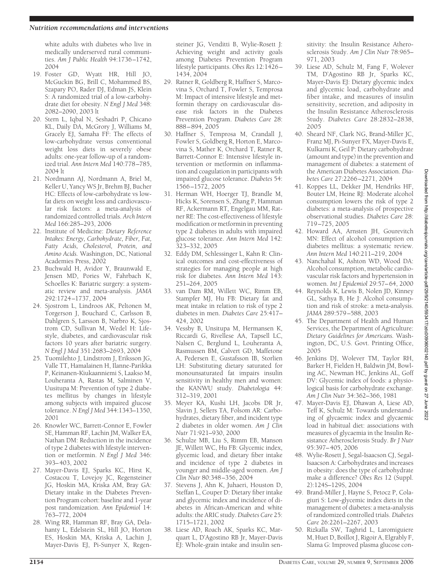white adults with diabetes who live in medically underserved rural communities. *Am J Public Health* 94:1736 –1742, 2004

- 19. Foster GD, Wyatt HR, Hill JO, McGuckin BG, Brill C, Mohammed BS, Szapary PO, Rader DJ, Edman JS, Klein S: A randomized trial of a low-carbohydrate diet for obesity. *N Engl J Med* 348: 2082–2090, 2003 lt
- 20. Stern L, Iqbal N, Seshadri P, Chicano KL, Daily DA, McGrory J, Williams M, Gracely EJ, Samaha FF: The effects of low-carbohydrate versus conventional weight loss diets in severely obese adults: one-year follow-up of a randomized trial. *Ann Intern Med* 140:778 –785, 2004 lt
- 21. Nordmann AJ, Nordmann A, Briel M, Keller U, Yancy WS Jr, Brehm BJ, Bucher HC: Effects of low-carbohydrate vs lowfat diets on weight loss and cardiovascular risk factors: a meta-analysis of randomized controlled trials. *Arch Intern Med* 166:285–293, 2006
- 22. Institute of Medicine: *Dietary Reference Intakes: Energy, Carbohydrate, Fiber, Fat, Fatty Acids, Cholesterol, Protein, and Amino Acids.* Washington, DC, National Academies Press, 2002
- 23. Buchwald H, Avidor Y, Braunwald E, Jensen MD, Pories W, Fahrbach K, Schoelles K: Bariatric surgery: a systematic review and meta-analysis. *JAMA* 292:1724 –1737, 2004
- 24. Sjostrom L, Lindroos AK, Peltonen M, Torgerson J, Bouchard C, Carlsson B, Dahlgren S, Larsson B, Narbro K, Sjostrom CD, Sullivan M, Wedel H: Lifestyle, diabetes, and cardiovascular risk factors 10 years after bariatric surgery. *N Engl J Med* 351:2683–2693, 2004
- 25. Tuomilehto J, Lindstrom J, Eriksson JG, Valle TT, Hamalainen H, Ilanne-Parikka P, Keinanen-Kiukaanniemi S, Laakso M, Louheranta A, Rastas M, Salminen V, Uusitupa M: Prevention of type 2 diabetes mellitus by changes in lifestyle among subjects with impaired glucose tolerance. *N Engl J Med* 344:1343–1350, 2001
- 26. Knowler WC, Barrett-Connor E, Fowler SE, Hamman RF, Lachin JM, Walker EA, Nathan DM: Reduction in the incidence of type 2 diabetes with lifestyle intervention or metformin. *N Engl J Med* 346: 393– 403, 2002
- 27. Mayer-Davis EJ, Sparks KC, Hirst K, Costacou T, Lovejoy JC, Regensteiner JG, Hoskin MA, Kriska AM, Bray GA: Dietary intake in the Diabetes Prevention Program cohort: baseline and 1-year post randomization. *Ann Epidemiol* 14: 763–772, 2004
- 28. Wing RR, Hamman RF, Bray GA, Delahanty L, Edelstein SL, Hill JO, Horton ES, Hoskin MA, Kriska A, Lachin J, Mayer-Davis EJ, Pi-Sunyer X, Regen-

steiner JG, Venditti B, Wylie-Rosett J: Achieving weight and activity goals among Diabetes Prevention Program lifestyle participants. *Obes Res* 12:1426 – 1434, 2004

- 29. Ratner R, Goldberg R, Haffner S, Marcovina S, Orchard T, Fowler S, Temprosa M: Impact of intensive lifestyle and metformin therapy on cardiovascular disease risk factors in the Diabetes Prevention Program. *Diabetes Care* 28: 888 – 894, 2005
- 30. Haffner S, Temprosa M, Crandall J, Fowler S, Goldberg R, Horton E, Marcovina S, Mather K, Orchard T, Ratner R, Barrett-Connor E: Intensive lifestyle intervention or metformin on inflammation and coagulation in participants with impaired glucose tolerance. *Diabetes* 54: 1566 –1572, 2005
- 31. Herman WH, Hoerger TJ, Brandle M, Hicks K, Sorensen S, Zhang P, Hamman RF, Ackermann RT, Engelgau MM, Ratner RE: The cost-effectiveness of lifestyle modification or metformin in preventing type 2 diabetes in adults with impaired glucose tolerance. *Ann Intern Med* 142: 323–332, 2005
- 32. Eddy DM, Schlessinger L, Kahn R: Clinical outcomes and cost-effectiveness of strategies for managing people at high risk for diabetes. *Ann Intern Med* 143: 251–264, 2005
- 33. van Dam RM, Willett WC, Rimm EB, Stampfer MJ, Hu FB: Dietary fat and meat intake in relation to risk of type 2 diabetes in men. *Diabetes Care* 25:417– 424, 2002
- 34. Vessby B, Unsitupa M, Hermansen K, Riccardi G, Rivellese AA, Tapsell LC, Nalsen C, Berglund L, Louheranta A, Rasmussen BM, Calvert GD, Maffetone A, Pedersen E, Gustafsson IB, Storlien LH: Substituting dietary saturated for monounsaturated fat impairs insulin sensitivity in healthy men and women: the KANWU study. *Diabetologia* 44: 312–319, 2001
- 35. Meyer KA, Kushi LH, Jacobs DR Jr, Slavin J, Sellers TA, Folsom AR: Carbohydrates, dietary fiber, and incident type 2 diabetes in older women. *Am J Clin Nutr* 71:921–930, 2000
- 36. Schulze MB, Liu S, Rimm EB, Manson JE, Willett WC, Hu FB: Glycemic index, glycemic load, and dietary fiber intake and incidence of type 2 diabetes in younger and middle-aged women. *Am J Clin Nutr* 80:348 –356, 2004
- 37. Stevens J, Ahn K, Juhaeri, Houston D, Steffan L, Couper D: Dietary fiber intake and glycemic index and incidence of diabetes in African-American and white adults: the ARIC study.*Diabetes Care* 25: 1715–1721, 2002
- 38. Liese AD, Roach AK, Sparks KC, Marquart L, D'Agostino RB Jr, Mayer-Davis EJ: Whole-grain intake and insulin sen-

sitivity: the Insulin Resistance Atherosclerosis Study. *Am J Clin Nutr* 78:965– 971, 2003

- 39. Liese AD, Schulz M, Fang F, Wolever TM, D'Agostino RB Jr, Sparks KC, Mayer-Davis EJ: Dietary glycemic index and glycemic load, carbohydrate and fiber intake, and measures of insulin sensitivity, secretion, and adiposity in the Insulin Resistance Atherosclerosis Study. *Diabetes Care* 28:2832–2838, 2005
- 40. Sheard NF, Clark NG, Brand-Miller JC, Franz MJ, Pi-Sunyer FX, Mayer-Davis E, Kulkarni K, Geil P: Dietary carbohydrate (amount and type) in the prevention and management of diabetes: a statement of the American Diabetes Association. *Diabetes Care* 27:2266 –2271, 2004
- 41. Koppes LL, Dekker JM, Hendriks HF, Bouter LM, Heine RJ: Moderate alcohol consumption lowers the risk of type 2 diabetes: a meta-analysis of prospective observational studies. *Diabetes Care* 28: 719 –725, 2005
- 42. Howard AA, Arnsten JH, Gourevitch MN: Effect of alcohol consumption on diabetes mellitus: a systematic review. *Ann Intern Med* 140:211–219, 2004
- 43. Nanchahal K, Ashton WD, Wood DA: Alcohol consumption, metabolic cardiovascular risk factors and hypertension in women. *Int J Epidemiol* 29:57– 64, 2000
- 44. Reynolds K, Lewis B, Nolen JD, Kinney GL, Sathya B, He J: Alcohol consumption and risk of stroke: a meta-analysis. *JAMA* 289:579 –588, 2003
- 45. The Department of Health and Human Services, the Department of Agriculture: *Dietary Guidelines for Americans.* Washington, DC, U.S. Govt. Printing Office, 2005
- 46. Jenkins DJ, Wolever TM, Taylor RH, Barker H, Fielden H, Baldwin JM, Bowling AC, Newman HC, Jenkins AL, Goff DV: Glycemic index of foods: a physiological basis for carbohydrate exchange. *Am J Clin Nutr* 34:362–366, 1981
- 47. Mayer-Davis EJ, Dhawan A, Liese AD, Teff K, Schulz M: Towards understanding of glycaemic index and glycaemic load in habitual diet: associations with measures of glycaemia in the Insulin Resistance Atherosclerosis Study. *Br J Nutr* 95:397– 405, 2006
- 48. Wylie-Rosett J, Segal-Isaacson CJ, Segal-Isaacson A: Carbohydrates and increases in obesity: does the type of carbohydrate make a difference? *Obes Res* 12 (Suppl. 2):124S–129S, 2004
- 49. Brand-Miller J, Hayne S, Petocz P, Colagiuri S: Low-glycemic index diets in the management of diabetes: a meta-analysis of randomized controlled trials. *Diabetes Care* 26:2261–2267, 2003
- 50. Rizkalla SW, Taghrid L, Laromiguiere M, Huet D, Boillot J, Rigoir A, Elgrably F, Slama G: Improved plasma glucose con-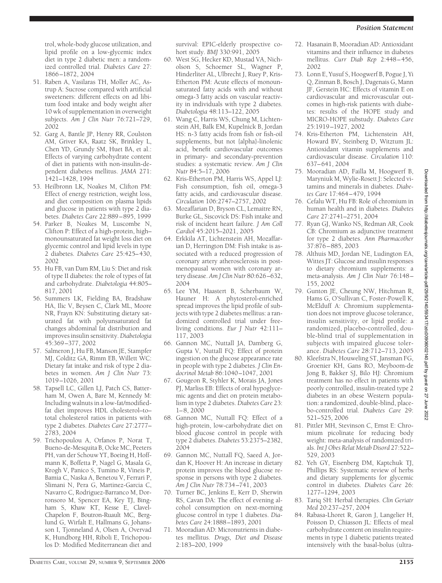trol, whole-body glucose utilization, and lipid profile on a low-glycemic index diet in type 2 diabetic men: a randomized controlled trial. *Diabetes Care* 27: 1866 –1872, 2004

- 51. Raben A, Vasilaras TH, Moller AC, Astrup A: Sucrose compared with artificial sweeteners: different effects on ad libitum food intake and body weight after 10 wk of supplementation in overweight subjects. *Am J Clin Nutr* 76:721–729, 2002
- 52. Garg A, Bantle JP, Henry RR, Coulston AM, Griver KA, Raatz SK, Brinkley L, Chen YD, Grundy SM, Huet BA, et al.: Effects of varying carbohydrate content of diet in patients with non-insulin-dependent diabetes mellitus. *JAMA* 271: 1421–1428, 1994
- 53. Heilbronn LK, Noakes M, Clifton PM: Effect of energy restriction, weight loss, and diet composition on plasma lipids and glucose in patients with type 2 diabetes. *Diabetes Care* 22:889 – 895, 1999
- 54. Parker B, Noakes M, Luscombe N, Clifton P: Effect of a high-protein, high– monounsaturated fat weight loss diet on glycemic control and lipid levels in type 2 diabetes. *Diabetes Care* 25:425– 430, 2002
- 55. Hu FB, van Dam RM, Liu S: Diet and risk of type II diabetes: the role of types of fat and carbohydrate. *Diabetologia* 44:805– 817, 2001
- 56. Summers LK, Fielding BA, Bradshaw HA, Ilic V, Beysen C, Clark ML, Moore NR, Frayn KN: Substituting dietary saturated fat with polyunsaturated fat changes abdominal fat distribution and improves insulin sensitivity.*Diabetologia* 45:369 –377, 2002
- 57. Salmeron J, Hu FB, Manson JE, Stampfer MJ, Colditz GA, Rimm EB, Willett WC: Dietary fat intake and risk of type 2 diabetes in women. *Am J Clin Nutr* 73: 1019 –1026, 2001
- 58. Tapsell LC, Gillen LJ, Patch CS, Batterham M, Owen A, Bare M, Kennedy M: Including walnuts in a low-fat/modifiedfat diet improves HDL cholesterol–to– total cholesterol ratios in patients with type 2 diabetes. *Diabetes Care* 27:2777– 2783, 2004
- 59. Trichopoulou A, Orfanos P, Norat T, Bueno-de-Mesquita B, Ocke MC, Peeters PH, van der Schouw YT, Boeing H, Hoffmann K, Boffetta P, Nagel G, Masala G, Krogh V, Panico S, Tumino R, Vineis P, Bamia C, Naska A, Benetou V, Ferrari P, Slimani N, Pera G, Martinez-Garcia C, Navarro C, Rodriguez-Barranco M, Dorronsoro M, Spencer EA, Key TJ, Bingham S, Khaw KT, Kesse E, Clavel-Chapelon F, Boutron-Ruault MC, Berglund G, Wirfalt E, Hallmans G, Johansson I, Tjonneland A, Olsen A, Overvad K, Hundborg HH, Riboli E, Trichopoulos D: Modified Mediterranean diet and

survival: EPIC-elderly prospective cohort study. *BMJ* 330:991, 2005

- 60. West SG, Hecker KD, Mustad VA, Nicholson S, Schoemer SL, Wagner P, Hinderliter AL, Ulbrecht J, Ruey P, Kris-Etherton PM: Acute effects of monounsaturated fatty acids with and without omega-3 fatty acids on vascular reactivity in individuals with type 2 diabetes. *Diabetologia* 48:113–122, 2005
- 61. Wang C, Harris WS, Chung M, Lichtenstein AH, Balk EM, Kupelnick B, Jordan HS: n-3 fatty acids from fish or fish-oil supplements, but not {alpha}-linolenic acid, benefit cardiovascular outcomes in primary- and secondary-prevention studies: a systematic review. *Am J Clin Nutr* 84:5–17, 2006
- 62. Kris-Etherton PM, Harris WS, Appel LJ: Fish consumption, fish oil, omega-3 fatty acids, and cardiovascular disease. *Circulation* 106:2747–2757, 2002
- 63. Mozaffarian D, Bryson CL, Lemaitre RN, Burke GL, Siscovick DS: Fish intake and risk of incident heart failure. *J Am Coll Cardiol* 45:2015–2021, 2005
- 64. Erkkila AT, Lichtenstein AH, Mozaffarian D, Herrington DM: Fish intake is associated with a reduced progression of coronary artery atherosclerosis in postmenopausal women with coronary artery disease. *Am J Clin Nutr* 80:626 –632, 2004
- 65. Lee YM, Haastert B, Scherbaum W, Hauner H: A phytosterol-enriched spread improves the lipid profile of subjects with type 2 diabetes mellitus: a randomized controlled trial under freeliving conditions. *Eur J Nutr* 42:111– 117, 2003
- 66. Gannon MC, Nuttall JA, Damberg G, Gupta V, Nuttall FQ: Effect of protein ingestion on the glucose appearance rate in people with type 2 diabetes. *J Clin Endocrinol Metab* 86:1040 –1047, 2001
- 67. Gougeon R, Styhler K, Morais JA, Jones PJ, Marliss EB: Effects of oral hypoglycemic agents and diet on protein metabolism in type 2 diabetes. *Diabetes Care* 23:  $1 - 8$ , 2000
- 68. Gannon MC, Nuttall FQ: Effect of a high-protein, low-carbohydrate diet on blood glucose control in people with type 2 diabetes. *Diabetes* 53:2375–2382, 2004
- 69. Gannon MC, Nuttall FQ, Saeed A, Jordan K, Hoover H: An increase in dietary protein improves the blood glucose response in persons with type 2 diabetes. *Am J Clin Nutr* 78:734 –741, 2003
- 70. Turner BC, Jenkins E, Kerr D, Sherwin RS, Cavan DA: The effect of evening alcohol consumption on next-morning glucose control in type 1 diabetes. *Diabetes Care* 24:1888 –1893, 2001
- 71. Mooradian AD: Micronutrients in diabetes mellitus. *Drugs, Diet and Disease* 2:183–200, 1999
- 72. Hasanain B, Mooradian AD: Antioxidant vitamins and their influence in diabetes mellitus. *Curr Diab Rep* 2:448 – 456, 2002
- 73. Lonn E, Yusuf S, Hoogwerf B, Pogue J, Yi Q, Zinman B, Bosch J, Dagenais G, Mann JF, Gerstein HC: Effects of vitamin E on cardiovascular and microvascular outcomes in high-risk patients with diabetes: results of the HOPE study and MICRO-HOPE substudy. *Diabetes Care* 25:1919 –1927, 2002
- 74. Kris-Etherton PM, Lichtenstein AH, Howard BV, Steinberg D, Witztum JL: Antioxidant vitamin supplements and cardiovascular disease. *Circulation* 110: 637– 641, 2004
- 75. Mooradian AD, Failla M, Hoogwerf B, Maryniuk M, Wylie-Rosett J: Selected vitamins and minerals in diabetes. *Diabetes Care* 17:464 – 479, 1994
- 76. Cefalu WT, Hu FB: Role of chromium in human health and in diabetes. *Diabetes Care* 27:2741–2751, 2004
- 77. Ryan GJ, Wanko NS, Redman AR, Cook CB: Chromium as adjunctive treatment for type 2 diabetes. *Ann Pharmacother* 37:876 – 885, 2003
- 78. Althuis MD, Jordan NE, Ludington EA, Wittes JT: Glucose and insulin responses to dietary chromium supplements: a meta-analysis. *Am J Clin Nutr* 76:148 – 155, 2002
- 79. Gunton JE, Cheung NW, Hitchman R, Hams G, O'Sullivan C, Foster-Powell K, McElduff A: Chromium supplementation does not improve glucose tolerance, insulin sensitivity, or lipid profile: a randomized, placebo-controlled, double-blind trial of supplementation in subjects with impaired glucose tolerance. *Diabetes Care* 28:712–713, 2005
- 80. Kleefstra N, Houweling ST, Jansman FG, Groenier KH, Gans RO, Meyboom-de Jong B, Bakker SJ, Bilo HJ: Chromium treatment has no effect in patients with poorly controlled, insulin-treated type 2 diabetes in an obese Western population: a randomized, double-blind, placebo-controlled trial. *Diabetes Care* 29: 521–525, 2006
- 81. Pittler MH, Stevinson C, Ernst E: Chromium picolinate for reducing body weight: meta-analysis of randomized trials. *Int J Obes Relat Metab Disord* 27:522– 529, 2003
- 82. Yeh GY, Eisenberg DM, Kaptchuk TJ, Phillips RS: Systematic review of herbs and dietary supplements for glycemic control in diabetes. *Diabetes Care* 26: 1277–1294, 2003
- 83. Tariq SH: Herbal therapies. *Clin Geriatr Med* 20:237–257, 2004
- 84. Rabasa-Lhoret R, Garon J, Langelier H, Poisson D, Chiasson JL: Effects of meal carbohydrate content on insulin requirements in type 1 diabetic patients treated intensively with the basal-bolus (ultra-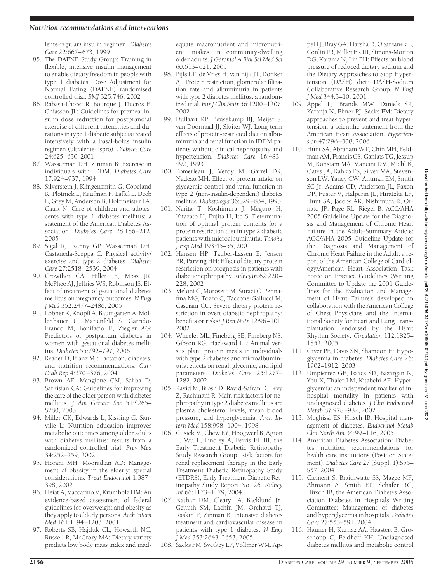lente-regular) insulin regimen. *Diabetes Care* 22:667– 673, 1999

- 85. The DAFNE Study Group: Training in flexible, intensive insulin management to enable dietary freedom in people with type 1 diabetes: Dose Adjustment for Normal Eating (DAFNE) randomised controlled trial. *BMJ* 325:746, 2002
- 86. Rabasa-Lhoret R, Bourque J, Ducros F, Chiasson JL: Guidelines for premeal insulin dose reduction for postprandial exercise of different intensities and durations in type 1 diabetic subjects treated intensively with a basal-bolus insulin regimen (ultralente-lispro). *Diabetes Care* 24:625–630, 2001
- 87. Wasserman DH, Zinman B: Exercise in individuals with IDDM. *Diabetes Care* 17:924 –937, 1994
- 88. Silverstein J, Klingensmith G, Copeland K, Plotnick L, Kaufman F, Laffel L, Deeb L, Grey M, Anderson B, Holzmeister LA, Clark N: Care of children and adolescents with type 1 diabetes mellitus: a statement of the American Diabetes Association. *Diabetes Care* 28:186 –212, 2005
- 89. Sigal RJ, Kenny GP, Wasserman DH, Castaneda-Sceppa C: Physical activity/ exercise and type 2 diabetes. *Diabetes Care* 27:2518 –2539, 2004
- 90. Crowther CA, Hiller JE, Moss JR, McPhee AJ, Jeffries WS, Robinson JS: Effect of treatment of gestational diabetes mellitus on pregnancy outcomes. *N Engl J Med* 352:2477–2486, 2005
- 91. Lobner K, Knopff A, Baumgarten A, Mollenhauer U, Marienfeld S, Garrido-Franco M, Bonifacio E, Ziegler AG: Predictors of postpartum diabetes in women with gestational diabetes mellitus. *Diabetes* 55:792–797, 2006
- 92. Reader D, Franz MJ: Lactation, diabetes, and nutrition recommendations. *Curr Diab Rep* 4:370 –376, 2004
- 93. Brown AF, Mangione CM, Saliba D, Sarkisian CA: Guidelines for improving the care of the older person with diabetes mellitus. *J Am Geriatr Soc* 51:S265– S280, 2003
- 94. Miller CK, Edwards L, Kissling G, Sanville L: Nutrition education improves metabolic outcomes among older adults with diabetes mellitus: results from a randomized controlled trial. *Prev Med* 34:252–259, 2002
- 95. Horani MH, Mooradian AD: Management of obesity in the elderly: special considerations. *Treat Endocrinol* 1:387– 398, 2002
- 96. Heiat A, Vaccarino V, Krumholz HM: An evidence-based assessment of federal guidelines for overweight and obesity as they apply to elderly persons. *Arch Intern Med* 161:1194 –1203, 2001
- 97. Roberts SB, Hajduk CL, Howarth NC, Russell R, McCrory MA: Dietary variety predicts low body mass index and inad-

equate macronutrient and micronutrient intakes in community-dwelling older adults. *J Gerontol A Biol Sci Med Sci* 60:613– 621, 2005

- 98. Pijls LT, de Vries H, van Eijk JT, Donker AJ: Protein restriction, glomerular filtration rate and albuminuria in patients with type 2 diabetes mellitus: a randomized trial. *Eur J Clin Nutr* 56:1200 –1207, 2002
- 99. Dullaart RP, Beusekamp BJ, Meijer S, van Doormaal JJ, Sluiter WJ: Long-term effects of protein-restricted diet on albuminuria and renal function in IDDM patients without clinical nephropathy and hypertension. *Diabetes Care* 16:483– 492, 1993
- 100. Pomerleau J, Verdy M, Garrel DR, Nadeau MH: Effect of protein intake on glycaemic control and renal function in type 2 (non-insulin-dependent) diabetes mellitus. *Diabetologia* 36:829 –834, 1993
- 101. Narita T, Koshimura J, Meguro H, Kitazato H, Fujita H, Ito S: Determination of optimal protein contents for a protein restriction diet in type 2 diabetic patients with microalbuminuria. *Tohoku J Exp Med* 193:45–55, 2001
- 102. Hansen HP, Tauber-Lassen E, Jensen BR, Parving HH: Effect of dietary protein restriction on prognosis in patients with diabeticnephropathy.*KidneyInt*62:220 – 228, 2002
- 103. Meloni C, Morosetti M, Suraci C, Pennafina MG, Tozzo C, Taccone-Gallucci M, Casciani CU: Severe dietary protein restriction in overt diabetic nephropathy: benefits or risks? *J Ren Nutr* 12:96 –101, 2002
- 104. Wheeler ML, Fineberg SE, Fineberg NS, Gibson RG, Hackward LL: Animal versus plant protein meals in individuals with type 2 diabetes and microalbuminuria: effects on renal, glycemic, and lipid parameters. *Diabetes Care* 25:1277– 1282, 2002
- 105. Ravid M, Brosh D, Ravid-Safran D, Levy Z, Rachmani R: Main risk factors for nephropathy in type 2 diabetes mellitus are plasma cholesterol levels, mean blood pressure, and hyperglycemia. *Arch Intern Med* 158:998 –1004, 1998
- 106. Cusick M, Chew EY, Hoogwerf B, Agron E, Wu L, Lindley A, Ferris FL III, the Early Treatment Diabetic Retinopathy Study Research Group: Risk factors for renal replacement therapy in the Early Treatment Diabetic Retinopathy Study (ETDRS), Early Treatment Diabetic Retinopathy Study Report No. 26. *Kidney Int* 66:1173–1179, 2004
- 107. Nathan DM, Cleary PA, Backlund JY, Genuth SM, Lachin JM, Orchard TJ, Raskin P, Zinman B: Intensive diabetes treatment and cardiovascular disease in patients with type 1 diabetes. *N Engl J Med* 353:2643–2653, 2005
- 108. Sacks FM, Svetkey LP, Vollmer WM, Ap-

pel LJ, Bray GA, Harsha D, Obarzanek E, Conlin PR, Miller ER III, Simons-Morton DG, Karanja N, Lin PH: Effects on blood pressure of reduced dietary sodium and the Dietary Approaches to Stop Hypertension (DASH) diet: DASH-Sodium Collaborative Research Group. *N Engl J Med* 344:3–10, 2001

- 109. Appel LJ, Brands MW, Daniels SR, Karanja N, Elmer PJ, Sacks FM: Dietary approaches to prevent and treat hypertension: a scientific statement from the American Heart Association. *Hypertension* 47:296 –308, 2006
- 110. Hunt SA, Abraham WT, Chin MH, Feldman AM, Francis GS, Ganiats TG, Jessup M, Konstam MA, Mancini DM, Michl K, Oates JA, Rahko PS, Silver MA, Stevenson LW, Yancy CW, Antman EM, Smith SC Jr, Adams CD, Anderson JL, Faxon DP, Fuster V, Halperin JL, Hiratzka LF, Hunt SA, Jacobs AK, Nishimura R, Ornato JP, Page RL, Riegel B: ACC/AHA 2005 Guideline Update for the Diagnosis and Management of Chronic Heart Failure in the Adult–Summary Article: ACC/AHA 2005 Guideline Update for the Diagnosis and Management of Chronic Heart Failure in the Adult: a report of the American College of Cardiology/American Heart Association Task Force on Practice Guidelines (Writing Committee to Update the 2001 Guidelines for the Evaluation and Management of Heart Failure): developed in collaboration with the American College of Chest Physicians and the International Society for Heart and Lung Transplantation: endorsed by the Heart Rhythm Society. *Circulation* 112:1825– 1852, 2005
- 111. Cryer PE, Davis SN, Shamoon H: Hypoglycemia in diabetes. *Diabetes Care* 26: 1902–1912, 2003
- 112. Umpierrez GE, Isaacs SD, Bazargan N, You X, Thaler LM, Kitabchi AE: Hyperglycemia: an independent marker of inhospital mortality in patients with undiagnosed diabetes. *J Clin Endocrinol Metab* 87:978 –982, 2002
- 113. Moghissi ES, Hirsch IB: Hospital management of diabetes. *Endocrinol Metab Clin North Am* 34:99 –116, 2005
- 114. American Diabetes Association: Diabetes nutrition recommendations for health care institutions (Position Statement). *Diabetes Care* 27 (Suppl. 1):S55– S57, 2004
- 115. Clement S, Braithwaite SS, Magee MF, Ahmann A, Smith EP, Schafer RG, Hirsch IB, the American Diabetes Association Diabetes in Hospitals Writing Committee: Management of diabetes and hyperglycemia in hospitals. *Diabetes Care* 27:553–591, 2004
- 116. Hauner H, Kurnaz AA, Haastert B, Groschopp C, Feldhoff KH: Undiagnosed diabetes mellitus and metabolic control